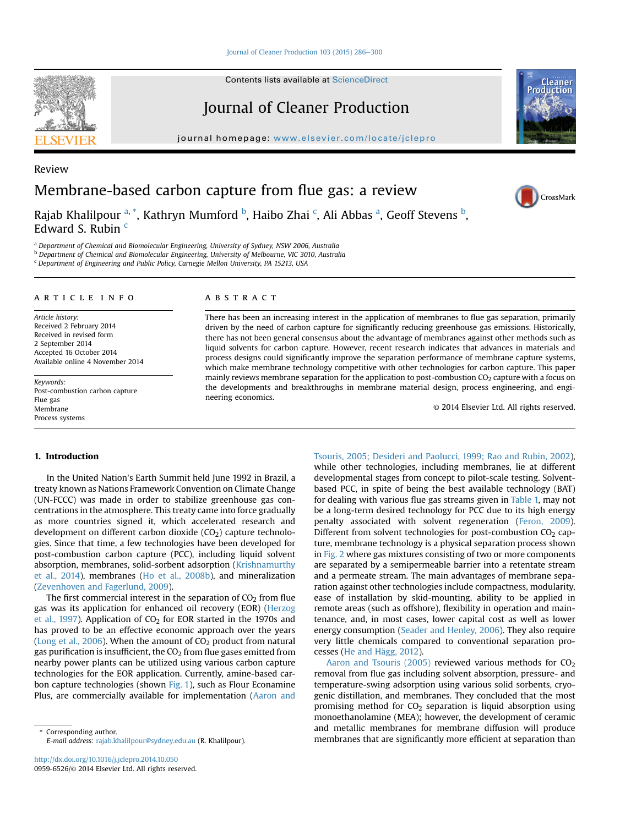#### [Journal of Cleaner Production 103 \(2015\) 286](http://dx.doi.org/10.1016/j.jclepro.2014.10.050)-[300](http://dx.doi.org/10.1016/j.jclepro.2014.10.050)

Contents lists available at ScienceDirect

## Journal of Cleaner Production

journal homepage: [www.elsevier.com/locate/jclepro](http://www.elsevier.com/locate/jclepro)

# Membrane-based carbon capture from flue gas: a review

Rajab Khalilpour <sup>a, \*</sup>, Kathryn Mumford <sup>b</sup>, Haibo Zhai <sup>c</sup>, Ali Abbas <sup>a</sup>, Geoff Stevens <sup>b</sup>, Edward S. Rubin<sup>c</sup>

a Department of Chemical and Biomolecular Engineering, University of Sydney, NSW 2006, Australia

<sup>b</sup> Department of Chemical and Biomolecular Engineering, University of Melbourne, VIC 3010, Australia

<sup>c</sup> Department of Engineering and Public Policy, Carnegie Mellon University, PA 15213, USA

#### article info

Article history: Received 2 February 2014 Received in revised form 2 September 2014 Accepted 16 October 2014 Available online 4 November 2014

Keywords: Post-combustion carbon capture Flue gas Membrane Process systems

#### **ABSTRACT**

There has been an increasing interest in the application of membranes to flue gas separation, primarily driven by the need of carbon capture for significantly reducing greenhouse gas emissions. Historically, there has not been general consensus about the advantage of membranes against other methods such as liquid solvents for carbon capture. However, recent research indicates that advances in materials and process designs could significantly improve the separation performance of membrane capture systems, which make membrane technology competitive with other technologies for carbon capture. This paper mainly reviews membrane separation for the application to post-combustion  $CO<sub>2</sub>$  capture with a focus on the developments and breakthroughs in membrane material design, process engineering, and engineering economics.

© 2014 Elsevier Ltd. All rights reserved.

#### 1. Introduction

In the United Nation's Earth Summit held June 1992 in Brazil, a treaty known as Nations Framework Convention on Climate Change (UN-FCCC) was made in order to stabilize greenhouse gas concentrations in the atmosphere. This treaty came into force gradually as more countries signed it, which accelerated research and development on different carbon dioxide  $(CO<sub>2</sub>)$  capture technologies. Since that time, a few technologies have been developed for post-combustion carbon capture (PCC), including liquid solvent absorption, membranes, solid-sorbent adsorption ([Krishnamurthy](#page-13-0) [et al., 2014\)](#page-13-0), membranes [\(Ho et al., 2008b\)](#page-13-0), and mineralization ([Zevenhoven and Fagerlund, 2009\)](#page-14-0).

The first commercial interest in the separation of  $CO<sub>2</sub>$  from flue gas was its application for enhanced oil recovery (EOR) ([Herzog](#page-13-0) [et al., 1997](#page-13-0)). Application of  $CO<sub>2</sub>$  for EOR started in the 1970s and has proved to be an effective economic approach over the years ([Long et al., 2006](#page-13-0)). When the amount of  $CO<sub>2</sub>$  product from natural gas purification is insufficient, the  $CO<sub>2</sub>$  from flue gases emitted from nearby power plants can be utilized using various carbon capture technologies for the EOR application. Currently, amine-based carbon capture technologies (shown [Fig. 1\)](#page-1-0), such as Flour Econamine Plus, are commercially available for implementation [\(Aaron and](#page-12-0)

E-mail address: [rajab.khalilpour@sydney.edu.au](mailto:rajab.khalilpour@sydney.edu.au) (R. Khalilpour).

while other technologies, including membranes, lie at different developmental stages from concept to pilot-scale testing. Solventbased PCC, in spite of being the best available technology (BAT) for dealing with various flue gas streams given in [Table 1,](#page-1-0) may not be a long-term desired technology for PCC due to its high energy penalty associated with solvent regeneration ([Feron, 2009\)](#page-12-0). Different from solvent technologies for post-combustion  $CO<sub>2</sub>$  capture, membrane technology is a physical separation process shown in [Fig. 2](#page-1-0) where gas mixtures consisting of two or more components are separated by a semipermeable barrier into a retentate stream and a permeate stream. The main advantages of membrane separation against other technologies include compactness, modularity, ease of installation by skid-mounting, ability to be applied in remote areas (such as offshore), flexibility in operation and maintenance, and, in most cases, lower capital cost as well as lower energy consumption [\(Seader and Henley, 2006](#page-14-0)). They also require very little chemicals compared to conventional separation pro-cesses ([He and H](#page-13-0)ä[gg, 2012](#page-13-0)). [Aaron and Tsouris \(2005\)](#page-12-0) reviewed various methods for  $CO<sub>2</sub>$ 

[Tsouris, 2005; Desideri and Paolucci, 1999; Rao and Rubin, 2002\)](#page-12-0),

removal from flue gas including solvent absorption, pressure- and temperature-swing adsorption using various solid sorbents, cryogenic distillation, and membranes. They concluded that the most promising method for  $CO<sub>2</sub>$  separation is liquid absorption using monoethanolamine (MEA); however, the development of ceramic and metallic membranes for membrane diffusion will produce corresponding author.<br>E-mail address: raiab.khalilpour@sydney.edu.au (R. Khalilpour). The membranes that are significantly more efficient at separation than \* Corresponding author.

Review





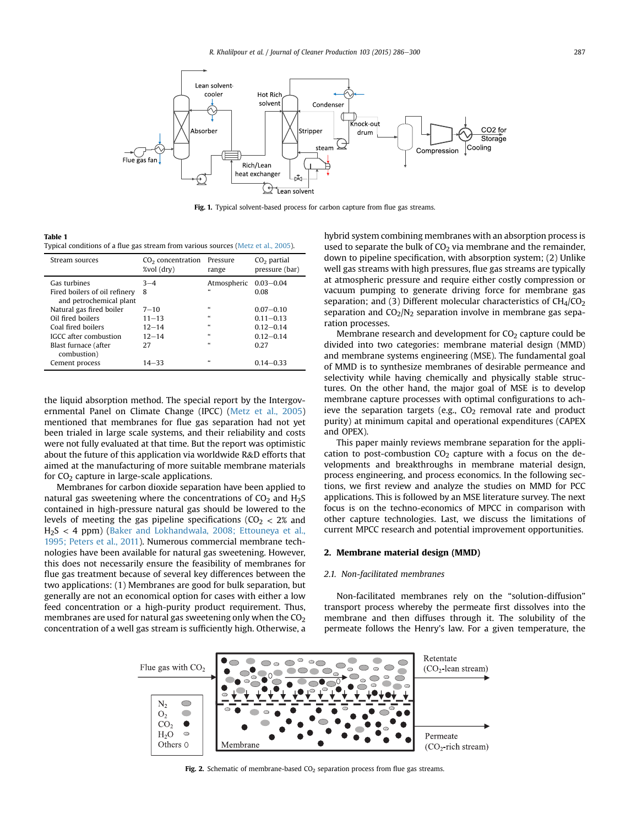<span id="page-1-0"></span>

Fig. 1. Typical solvent-based process for carbon capture from flue gas streams.

Table 1 Typical conditions of a flue gas stream from various sources ([Metz et al., 2005](#page-13-0)).

| Stream sources                                           | CO <sub>2</sub> concentration<br>%vol (dry) | Pressure<br>range  | $CO2$ partial<br>pressure (bar) |
|----------------------------------------------------------|---------------------------------------------|--------------------|---------------------------------|
| Gas turbines                                             | $3 - 4$                                     | Atmospheric        | $0.03 - 0.04$                   |
| Fired boilers of oil refinery<br>and petrochemical plant | 8                                           | "                  | 0.08                            |
| Natural gas fired boiler                                 | $7 - 10$                                    | $\epsilon\epsilon$ | $0.07 - 0.10$                   |
| Oil fired boilers                                        | $11 - 13$                                   | $\epsilon\epsilon$ | $0.11 - 0.13$                   |
| Coal fired boilers                                       | $12 - 14$                                   | $\epsilon$         | $0.12 - 0.14$                   |
| <b>IGCC</b> after combustion                             | $12 - 14$                                   | $\epsilon$         | $0.12 - 0.14$                   |
| Blast furnace (after<br>combustion)                      | 27                                          | $\epsilon\epsilon$ | 0.27                            |
| Cement process                                           | $14 - 33$                                   | $\epsilon$         | $0.14 - 0.33$                   |

the liquid absorption method. The special report by the Intergovernmental Panel on Climate Change (IPCC) [\(Metz et al., 2005\)](#page-13-0) mentioned that membranes for flue gas separation had not yet been trialed in large scale systems, and their reliability and costs were not fully evaluated at that time. But the report was optimistic about the future of this application via worldwide R&D efforts that aimed at the manufacturing of more suitable membrane materials for CO<sub>2</sub> capture in large-scale applications.

Membranes for carbon dioxide separation have been applied to natural gas sweetening where the concentrations of  $CO<sub>2</sub>$  and  $H<sub>2</sub>S$ contained in high-pressure natural gas should be lowered to the levels of meeting the gas pipeline specifications ( $CO<sub>2</sub> < 2%$  and  $H<sub>2</sub>S < 4$  ppm) ([Baker and Lokhandwala, 2008; Ettouneya et al.,](#page-12-0) [1995; Peters et al., 2011\)](#page-12-0). Numerous commercial membrane technologies have been available for natural gas sweetening. However, this does not necessarily ensure the feasibility of membranes for flue gas treatment because of several key differences between the two applications: (1) Membranes are good for bulk separation, but generally are not an economical option for cases with either a low feed concentration or a high-purity product requirement. Thus, membranes are used for natural gas sweetening only when the  $CO<sub>2</sub>$ concentration of a well gas stream is sufficiently high. Otherwise, a hybrid system combining membranes with an absorption process is used to separate the bulk of  $CO<sub>2</sub>$  via membrane and the remainder, down to pipeline specification, with absorption system; (2) Unlike well gas streams with high pressures, flue gas streams are typically at atmospheric pressure and require either costly compression or vacuum pumping to generate driving force for membrane gas separation; and (3) Different molecular characteristics of  $CH<sub>4</sub>/CO<sub>2</sub>$ separation and  $CO<sub>2</sub>/N<sub>2</sub>$  separation involve in membrane gas separation processes.

Membrane research and development for  $CO<sub>2</sub>$  capture could be divided into two categories: membrane material design (MMD) and membrane systems engineering (MSE). The fundamental goal of MMD is to synthesize membranes of desirable permeance and selectivity while having chemically and physically stable structures. On the other hand, the major goal of MSE is to develop membrane capture processes with optimal configurations to achieve the separation targets (e.g.,  $CO<sub>2</sub>$  removal rate and product purity) at minimum capital and operational expenditures (CAPEX and OPEX).

This paper mainly reviews membrane separation for the application to post-combustion  $CO<sub>2</sub>$  capture with a focus on the developments and breakthroughs in membrane material design, process engineering, and process economics. In the following sections, we first review and analyze the studies on MMD for PCC applications. This is followed by an MSE literature survey. The next focus is on the techno-economics of MPCC in comparison with other capture technologies. Last, we discuss the limitations of current MPCC research and potential improvement opportunities.

#### 2. Membrane material design (MMD)

#### 2.1. Non-facilitated membranes

Non-facilitated membranes rely on the "solution-diffusion" transport process whereby the permeate first dissolves into the membrane and then diffuses through it. The solubility of the permeate follows the Henry's law. For a given temperature, the



Fig. 2. Schematic of membrane-based  $CO<sub>2</sub>$  separation process from flue gas streams.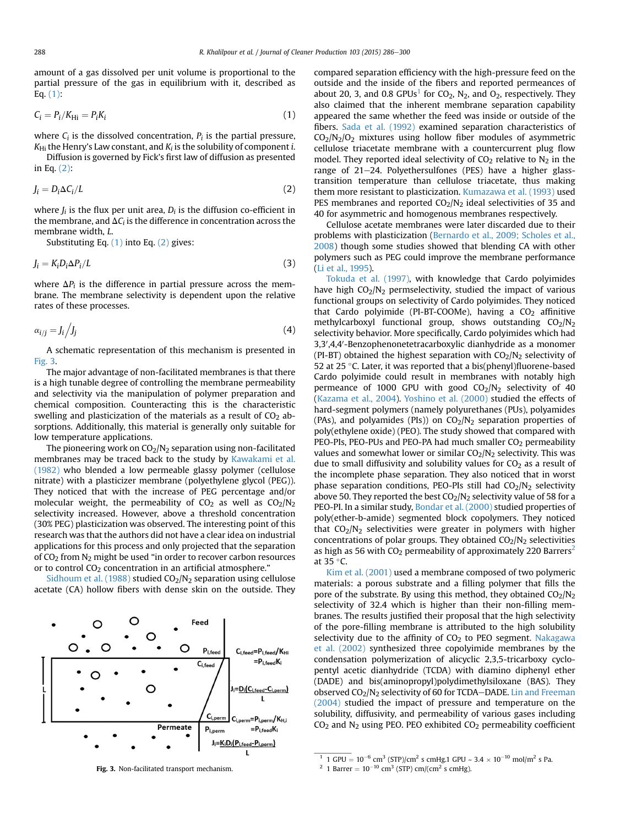amount of a gas dissolved per unit volume is proportional to the partial pressure of the gas in equilibrium with it, described as Eq. (1):

$$
C_i = P_i / K_{\rm Hi} = P_i K_i \tag{1}
$$

where  $C_i$  is the dissolved concentration,  $P_i$  is the partial pressure,  $K_{\text{Hi}}$  the Henry's Law constant, and  $K_i$  is the solubility of component *i*.

Diffusion is governed by Fick's first law of diffusion as presented in Eq. (2):

$$
J_i = D_i \Delta C_i / L \tag{2}
$$

where  $J_i$  is the flux per unit area,  $D_i$  is the diffusion co-efficient in the membrane, and  $\Delta C_i$  is the difference in concentration across the membrane width, L.

Substituting Eq. (1) into Eq. (2) gives:

$$
J_i = K_i D_i \Delta P_i / L \tag{3}
$$

where  $\Delta P_i$  is the difference in partial pressure across the membrane. The membrane selectivity is dependent upon the relative rates of these processes.

$$
\alpha_{i/j} = J_i / J_j \tag{4}
$$

A schematic representation of this mechanism is presented in Fig. 3.

The major advantage of non-facilitated membranes is that there is a high tunable degree of controlling the membrane permeability and selectivity via the manipulation of polymer preparation and chemical composition. Counteracting this is the characteristic swelling and plasticization of the materials as a result of  $CO<sub>2</sub>$  absorptions. Additionally, this material is generally only suitable for low temperature applications.

The pioneering work on  $CO<sub>2</sub>/N<sub>2</sub>$  separation using non-facilitated membranes may be traced back to the study by [Kawakami et al.](#page-13-0) [\(1982\)](#page-13-0) who blended a low permeable glassy polymer (cellulose nitrate) with a plasticizer membrane (polyethylene glycol (PEG)). They noticed that with the increase of PEG percentage and/or molecular weight, the permeability of  $CO<sub>2</sub>$  as well as  $CO<sub>2</sub>/N<sub>2</sub>$ selectivity increased. However, above a threshold concentration (30% PEG) plasticization was observed. The interesting point of this research was that the authors did not have a clear idea on industrial applications for this process and only projected that the separation of  $CO<sub>2</sub>$  from N<sub>2</sub> might be used "in order to recover carbon resources or to control  $CO<sub>2</sub>$  concentration in an artificial atmosphere."

[Sidhoum et al. \(1988\)](#page-14-0) studied  $CO<sub>2</sub>/N<sub>2</sub>$  separation using cellulose acetate (CA) hollow fibers with dense skin on the outside. They



Fig. 3. Non-facilitated transport mechanism.

compared separation efficiency with the high-pressure feed on the outside and the inside of the fibers and reported permeances of about 20, 3, and 0.8 GPUs<sup>1</sup> for CO<sub>2</sub>, N<sub>2</sub>, and O<sub>2</sub>, respectively. They also claimed that the inherent membrane separation capability appeared the same whether the feed was inside or outside of the fibers. [Sada et al. \(1992\)](#page-14-0) examined separation characteristics of  $CO<sub>2</sub>/N<sub>2</sub>/O<sub>2</sub>$  mixtures using hollow fiber modules of asymmetric cellulose triacetate membrane with a countercurrent plug flow model. They reported ideal selectivity of  $CO<sub>2</sub>$  relative to  $N<sub>2</sub>$  in the range of  $21-24$ . Polyethersulfones (PES) have a higher glasstransition temperature than cellulose triacetate, thus making them more resistant to plasticization. [Kumazawa et al. \(1993\)](#page-13-0) used PES membranes and reported  $CO<sub>2</sub>/N<sub>2</sub>$  ideal selectivities of 35 and 40 for asymmetric and homogenous membranes respectively.

Cellulose acetate membranes were later discarded due to their problems with plasticization [\(Bernardo et al., 2009; Scholes et al.,](#page-12-0) [2008](#page-12-0)) though some studies showed that blending CA with other polymers such as PEG could improve the membrane performance ([Li et al., 1995](#page-13-0)).

[Tokuda et al. \(1997\)](#page-14-0), with knowledge that Cardo polyimides have high  $CO<sub>2</sub>/N<sub>2</sub>$  permselectivity, studied the impact of various functional groups on selectivity of Cardo polyimides. They noticed that Cardo polyimide (PI-BT-COOMe), having a  $CO<sub>2</sub>$  affinitive methylcarboxyl functional group, shows outstanding  $CO<sub>2</sub>/N<sub>2</sub>$ selectivity behavior. More specifically, Cardo polyimides which had 3,3',4,4'-Benzophenonetetracarboxylic dianhydride as a monomer (PI-BT) obtained the highest separation with  $CO<sub>2</sub>/N<sub>2</sub>$  selectivity of 52 at 25 °C. Later, it was reported that a bis(phenyl)fluorene-based Cardo polyimide could result in membranes with notably high permeance of 1000 GPU with good  $CO<sub>2</sub>/N<sub>2</sub>$  selectivity of 40 ([Kazama et al., 2004\)](#page-13-0). [Yoshino et al. \(2000\)](#page-14-0) studied the effects of hard-segment polymers (namely polyurethanes (PUs), polyamides (PAs), and polyamides (PIs)) on  $CO<sub>2</sub>/N<sub>2</sub>$  separation properties of poly(ethylene oxide) (PEO). The study showed that compared with PEO-PIs, PEO-PUs and PEO-PA had much smaller  $CO<sub>2</sub>$  permeability values and somewhat lower or similar  $CO<sub>2</sub>/N<sub>2</sub>$  selectivity. This was due to small diffusivity and solubility values for  $CO<sub>2</sub>$  as a result of the incomplete phase separation. They also noticed that in worst phase separation conditions, PEO-PIs still had  $CO<sub>2</sub>/N<sub>2</sub>$  selectivity above 50. They reported the best  $CO<sub>2</sub>/N<sub>2</sub>$  selectivity value of 58 for a PEO-PI. In a similar study, [Bondar et al. \(2000\)](#page-12-0) studied properties of poly(ether-b-amide) segmented block copolymers. They noticed that  $CO<sub>2</sub>/N<sub>2</sub>$  selectivities were greater in polymers with higher concentrations of polar groups. They obtained  $CO<sub>2</sub>/N<sub>2</sub>$  selectivities as high as 56 with  $CO<sub>2</sub>$  permeability of approximately 220 Barrers<sup>2</sup> at 35 °C.

[Kim et al. \(2001\)](#page-13-0) used a membrane composed of two polymeric materials: a porous substrate and a filling polymer that fills the pore of the substrate. By using this method, they obtained  $CO<sub>2</sub>/N<sub>2</sub>$ selectivity of 32.4 which is higher than their non-filling membranes. The results justified their proposal that the high selectivity of the pore-filling membrane is attributed to the high solubility selectivity due to the affinity of  $CO<sub>2</sub>$  to PEO segment. [Nakagawa](#page-13-0) [et al. \(2002\)](#page-13-0) synthesized three copolyimide membranes by the condensation polymerization of alicyclic 2,3,5-tricarboxy cyclopentyl acetic dianhydride (TCDA) with diamino diphenyl ether (DADE) and bis(aminopropyl)polydimethylsiloxane (BAS). They observed  $CO<sub>2</sub>/N<sub>2</sub>$  selectivity of 60 for TCDA-DADE. [Lin and Freeman](#page-13-0) [\(2004\)](#page-13-0) studied the impact of pressure and temperature on the solubility, diffusivity, and permeability of various gases including  $CO<sub>2</sub>$  and N<sub>2</sub> using PEO. PEO exhibited  $CO<sub>2</sub>$  permeability coefficient

<sup>&</sup>lt;sup>1</sup> 1 GPU =  $10^{-6}$  cm<sup>3</sup> (STP)/cm<sup>2</sup> s cmHg.1 GPU ~ 3.4  $\times$  10<sup>-10</sup> mol/m<sup>2</sup> s Pa.<br><sup>2</sup> 1 Barrer =  $10^{-10}$  cm<sup>3</sup> (STP) cm/(cm<sup>2</sup> s cmHg).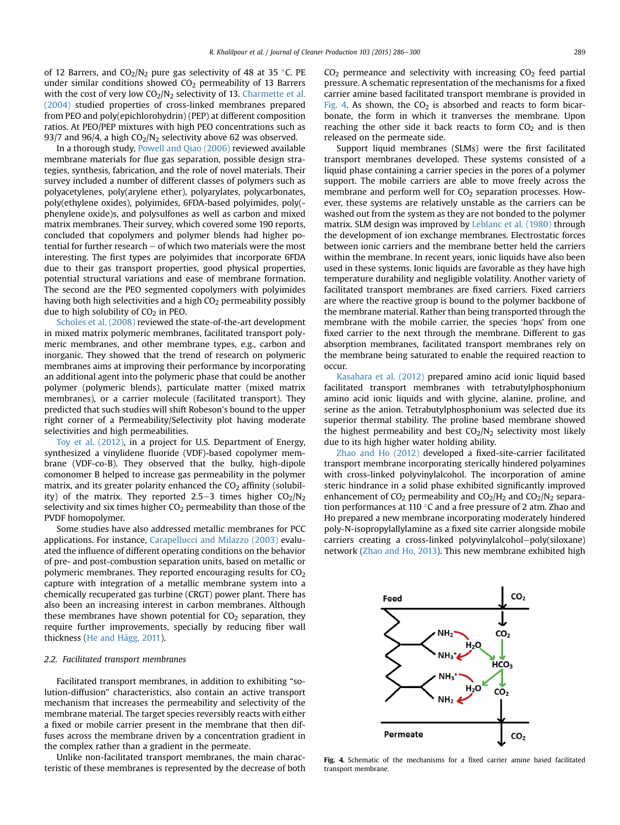of 12 Barrers, and CO $_2$ /N $_2$  pure gas selectivity of 48 at 35 °C. PE under similar conditions showed  $CO<sub>2</sub>$  permeability of 13 Barrers with the cost of very low  $CO<sub>2</sub>/N<sub>2</sub>$  selectivity of 13. [Charmette et al.](#page-12-0) [\(2004\)](#page-12-0) studied properties of cross-linked membranes prepared from PEO and poly(epichlorohydrin) (PEP) at different composition ratios. At PEO/PEP mixtures with high PEO concentrations such as 93/7 and 96/4, a high  $CO<sub>2</sub>/N<sub>2</sub>$  selectivity above 62 was observed.

In a thorough study, [Powell and Qiao \(2006\)](#page-13-0) reviewed available membrane materials for flue gas separation, possible design strategies, synthesis, fabrication, and the role of novel materials. Their survey included a number of different classes of polymers such as polyacetylenes, poly(arylene ether), polyarylates, polycarbonates, poly(ethylene oxides), polyimides, 6FDA-based polyimides, poly( phenylene oxide)s, and polysulfones as well as carbon and mixed matrix membranes. Their survey, which covered some 190 reports, concluded that copolymers and polymer blends had higher potential for further research  $-$  of which two materials were the most interesting. The first types are polyimides that incorporate 6FDA due to their gas transport properties, good physical properties, potential structural variations and ease of membrane formation. The second are the PEO segmented copolymers with polyimides having both high selectivities and a high  $CO<sub>2</sub>$  permeability possibly due to high solubility of  $CO<sub>2</sub>$  in PEO.

[Scholes et al. \(2008\)](#page-14-0) reviewed the state-of-the-art development in mixed matrix polymeric membranes, facilitated transport polymeric membranes, and other membrane types, e.g., carbon and inorganic. They showed that the trend of research on polymeric membranes aims at improving their performance by incorporating an additional agent into the polymeric phase that could be another polymer (polymeric blends), particulate matter (mixed matrix membranes), or a carrier molecule (facilitated transport). They predicted that such studies will shift Robeson's bound to the upper right corner of a Permeability/Selectivity plot having moderate selectivities and high permeabilities.

[Toy et al. \(2012\),](#page-14-0) in a project for U.S. Department of Energy, synthesized a vinylidene fluoride (VDF)-based copolymer membrane (VDF-co-B). They observed that the bulky, high-dipole comonomer B helped to increase gas permeability in the polymer matrix, and its greater polarity enhanced the  $CO<sub>2</sub>$  affinity (solubility) of the matrix. They reported 2.5–3 times higher  $CO<sub>2</sub>/N<sub>2</sub>$ selectivity and six times higher  $CO<sub>2</sub>$  permeability than those of the PVDF homopolymer.

Some studies have also addressed metallic membranes for PCC applications. For instance, [Carapellucci and Milazzo \(2003\)](#page-12-0) evaluated the influence of different operating conditions on the behavior of pre- and post-combustion separation units, based on metallic or polymeric membranes. They reported encouraging results for  $CO<sub>2</sub>$ capture with integration of a metallic membrane system into a chemically recuperated gas turbine (CRGT) power plant. There has also been an increasing interest in carbon membranes. Although these membranes have shown potential for  $CO<sub>2</sub>$  separation, they require further improvements, specially by reducing fiber wall thickness (He and Hägg, 2011).

#### 2.2. Facilitated transport membranes

Facilitated transport membranes, in addition to exhibiting "solution-diffusion" characteristics, also contain an active transport mechanism that increases the permeability and selectivity of the membrane material. The target species reversibly reacts with either a fixed or mobile carrier present in the membrane that then diffuses across the membrane driven by a concentration gradient in the complex rather than a gradient in the permeate.

Unlike non-facilitated transport membranes, the main characteristic of these membranes is represented by the decrease of both  $CO<sub>2</sub>$  permeance and selectivity with increasing  $CO<sub>2</sub>$  feed partial pressure. A schematic representation of the mechanisms for a fixed carrier amine based facilitated transport membrane is provided in Fig. 4. As shown, the  $CO<sub>2</sub>$  is absorbed and reacts to form bicarbonate, the form in which it tranverses the membrane. Upon reaching the other side it back reacts to form  $CO<sub>2</sub>$  and is then released on the permeate side.

Support liquid membranes (SLMs) were the first facilitated transport membranes developed. These systems consisted of a liquid phase containing a carrier species in the pores of a polymer support. The mobile carriers are able to move freely across the membrane and perform well for  $CO<sub>2</sub>$  separation processes. However, these systems are relatively unstable as the carriers can be washed out from the system as they are not bonded to the polymer matrix. SLM design was improved by [Leblanc et al. \(1980\)](#page-13-0) through the development of ion exchange membranes. Electrostatic forces between ionic carriers and the membrane better held the carriers within the membrane. In recent years, ionic liquids have also been used in these systems. Ionic liquids are favorable as they have high temperature durability and negligible volatility. Another variety of facilitated transport membranes are fixed carriers. Fixed carriers are where the reactive group is bound to the polymer backbone of the membrane material. Rather than being transported through the membrane with the mobile carrier, the species 'hops' from one fixed carrier to the next through the membrane. Different to gas absorption membranes, facilitated transport membranes rely on the membrane being saturated to enable the required reaction to occur.

[Kasahara et al. \(2012\)](#page-13-0) prepared amino acid ionic liquid based facilitated transport membranes with tetrabutylphosphonium amino acid ionic liquids and with glycine, alanine, proline, and serine as the anion. Tetrabutylphosphonium was selected due its superior thermal stability. The proline based membrane showed the highest permeability and best  $CO<sub>2</sub>/N<sub>2</sub>$  selectivity most likely due to its high higher water holding ability.

[Zhao and Ho \(2012\)](#page-14-0) developed a fixed-site-carrier facilitated transport membrane incorporating sterically hindered polyamines with cross-linked polyvinylalcohol. The incorporation of amine steric hindrance in a solid phase exhibited significantly improved enhancement of  $CO<sub>2</sub>$  permeability and  $CO<sub>2</sub>/H<sub>2</sub>$  and  $CO<sub>2</sub>/N<sub>2</sub>$  separation performances at 110  $\degree$ C and a free pressure of 2 atm. Zhao and Ho prepared a new membrane incorporating moderately hindered poly-N-isopropylallylamine as a fixed site carrier alongside mobile carriers creating a cross-linked polyvinylalcohol-poly(siloxane) network ([Zhao and Ho, 2013\)](#page-14-0). This new membrane exhibited high



Fig. 4. Schematic of the mechanisms for a fixed carrier amine based facilitated transport membrane.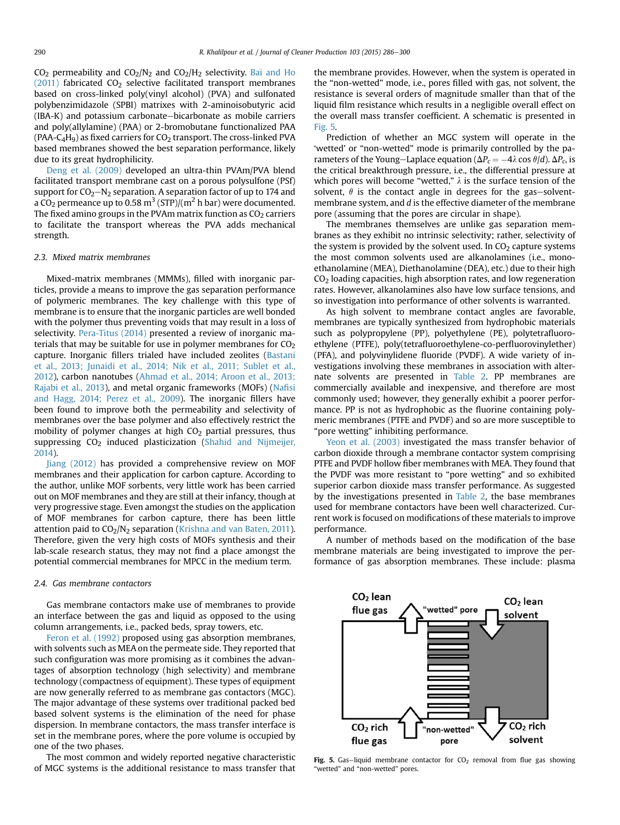$CO<sub>2</sub>$  permeability and  $CO<sub>2</sub>/N<sub>2</sub>$  and  $CO<sub>2</sub>/H<sub>2</sub>$  selectivity. [Bai and Ho](#page-12-0)  $(2011)$  fabricated CO<sub>2</sub> selective facilitated transport membranes based on cross-linked poly(vinyl alcohol) (PVA) and sulfonated polybenzimidazole (SPBI) matrixes with 2-aminoisobutyric acid  $(IBA-K)$  and potassium carbonate-bicarbonate as mobile carriers and poly(allylamine) (PAA) or 2-bromobutane functionalized PAA (PAA-C<sub>4</sub>H<sub>9</sub>) as fixed carriers for  $CO<sub>2</sub>$  transport. The cross-linked PVA based membranes showed the best separation performance, likely due to its great hydrophilicity.

[Deng et al. \(2009\)](#page-12-0) developed an ultra-thin PVAm/PVA blend facilitated transport membrane cast on a porous polysulfone (PSf) support for  $CO<sub>2</sub>-N<sub>2</sub>$  separation. A separation factor of up to 174 and a CO<sub>2</sub> permeance up to 0.58 m<sup>3</sup> (STP)/(m<sup>2</sup> h bar) were documented. The fixed amino groups in the PVAm matrix function as  $CO<sub>2</sub>$  carriers to facilitate the transport whereas the PVA adds mechanical strength.

#### 2.3. Mixed matrix membranes

Mixed-matrix membranes (MMMs), filled with inorganic particles, provide a means to improve the gas separation performance of polymeric membranes. The key challenge with this type of membrane is to ensure that the inorganic particles are well bonded with the polymer thus preventing voids that may result in a loss of selectivity. [Pera-Titus \(2014\)](#page-13-0) presented a review of inorganic materials that may be suitable for use in polymer membranes for  $CO<sub>2</sub>$ capture. Inorganic fillers trialed have included zeolites [\(Bastani](#page-12-0) [et al., 2013; Junaidi et al., 2014; Nik et al., 2011; Sublet et al.,](#page-12-0) [2012](#page-12-0)), carbon nanotubes ([Ahmad et al., 2014; Aroon et al., 2013;](#page-12-0) [Rajabi et al., 2013\)](#page-12-0), and metal organic frameworks (MOFs) ([Na](#page-13-0)fisi [and Hagg, 2014; Perez et al., 2009](#page-13-0)). The inorganic fillers have been found to improve both the permeability and selectivity of membranes over the base polymer and also effectively restrict the mobility of polymer changes at high  $CO<sub>2</sub>$  partial pressures, thus suppressing  $CO<sub>2</sub>$  induced plasticization ([Shahid and Nijmeijer,](#page-14-0) [2014](#page-14-0)).

[Jiang \(2012\)](#page-13-0) has provided a comprehensive review on MOF membranes and their application for carbon capture. According to the author, unlike MOF sorbents, very little work has been carried out on MOF membranes and they are still at their infancy, though at very progressive stage. Even amongst the studies on the application of MOF membranes for carbon capture, there has been little attention paid to  $CO<sub>2</sub>/N<sub>2</sub>$  separation [\(Krishna and van Baten, 2011\)](#page-13-0). Therefore, given the very high costs of MOFs synthesis and their lab-scale research status, they may not find a place amongst the potential commercial membranes for MPCC in the medium term.

### 2.4. Gas membrane contactors

Gas membrane contactors make use of membranes to provide an interface between the gas and liquid as opposed to the using column arrangements, i.e., packed beds, spray towers, etc.

[Feron et al. \(1992\)](#page-12-0) proposed using gas absorption membranes, with solvents such as MEA on the permeate side. They reported that such configuration was more promising as it combines the advantages of absorption technology (high selectivity) and membrane technology (compactness of equipment). These types of equipment are now generally referred to as membrane gas contactors (MGC). The major advantage of these systems over traditional packed bed based solvent systems is the elimination of the need for phase dispersion. In membrane contactors, the mass transfer interface is set in the membrane pores, where the pore volume is occupied by one of the two phases.

The most common and widely reported negative characteristic of MGC systems is the additional resistance to mass transfer that the membrane provides. However, when the system is operated in the "non-wetted" mode, i.e., pores filled with gas, not solvent, the resistance is several orders of magnitude smaller than that of the liquid film resistance which results in a negligible overall effect on the overall mass transfer coefficient. A schematic is presented in Fig. 5.

Prediction of whether an MGC system will operate in the 'wetted' or "non-wetted" mode is primarily controlled by the parameters of the Young-Laplace equation ( $\Delta P_c = -4\lambda \cos \theta/d$ ).  $\Delta P_c$ , is the critical breakthrough pressure, i.e., the differential pressure at which pores will become "wetted,"  $\lambda$  is the surface tension of the solvent,  $\theta$  is the contact angle in degrees for the gas-solventmembrane system, and d is the effective diameter of the membrane pore (assuming that the pores are circular in shape).

The membranes themselves are unlike gas separation membranes as they exhibit no intrinsic selectivity; rather, selectivity of the system is provided by the solvent used. In  $CO<sub>2</sub>$  capture systems the most common solvents used are alkanolamines (i.e., monoethanolamine (MEA), Diethanolamine (DEA), etc.) due to their high CO2 loading capacities, high absorption rates, and low regeneration rates. However, alkanolamines also have low surface tensions, and so investigation into performance of other solvents is warranted.

As high solvent to membrane contact angles are favorable, membranes are typically synthesized from hydrophobic materials such as polypropylene (PP), polyethylene (PE), polytetrafluoroethylene (PTFE), poly(tetrafluoroethylene-co-perfluorovinylether) (PFA), and polyvinylidene fluoride (PVDF). A wide variety of investigations involving these membranes in association with alternate solvents are presented in [Table 2.](#page-5-0) PP membranes are commercially available and inexpensive, and therefore are most commonly used; however, they generally exhibit a poorer performance. PP is not as hydrophobic as the fluorine containing polymeric membranes (PTFE and PVDF) and so are more susceptible to "pore wetting" inhibiting performance.

[Yeon et al. \(2003\)](#page-14-0) investigated the mass transfer behavior of carbon dioxide through a membrane contactor system comprising PTFE and PVDF hollow fiber membranes with MEA. They found that the PVDF was more resistant to "pore wetting" and so exhibited superior carbon dioxide mass transfer performance. As suggested by the investigations presented in [Table 2](#page-5-0), the base membranes used for membrane contactors have been well characterized. Current work is focused on modifications of these materials to improve performance.

A number of methods based on the modification of the base membrane materials are being investigated to improve the performance of gas absorption membranes. These include: plasma



Fig. 5. Gas-liquid membrane contactor for  $CO<sub>2</sub>$  removal from flue gas showing "wetted" and "non-wetted" pores.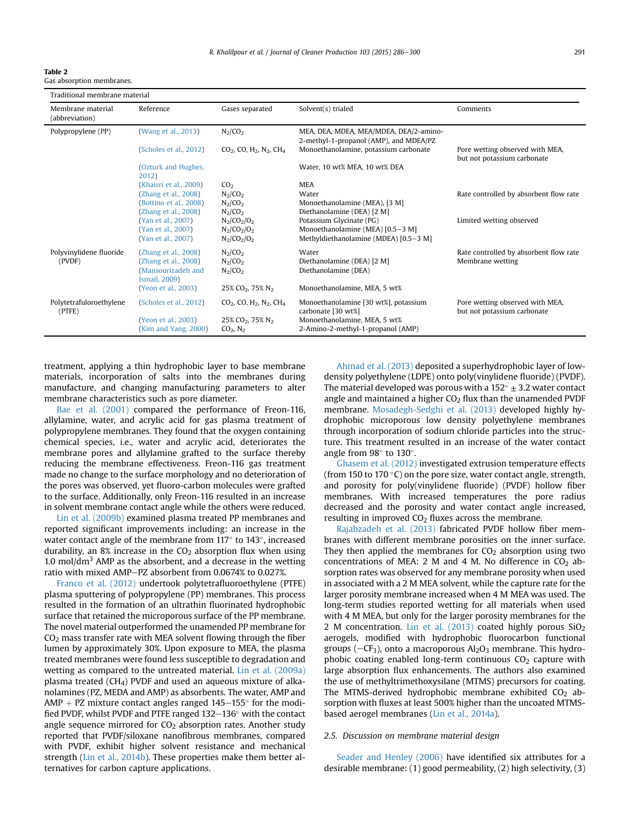<span id="page-5-0"></span>Table 2

Gas absorption membranes.

| Traditional membrane material       |                              |                                                               |                                                                                  |                                                                |
|-------------------------------------|------------------------------|---------------------------------------------------------------|----------------------------------------------------------------------------------|----------------------------------------------------------------|
| Membrane material<br>(abbreviation) | Reference                    | Gases separated                                               | Solvent(s) trialed                                                               | Comments                                                       |
| Polypropylene (PP)                  | (Wang et al., 2013)          | N <sub>2</sub> /CO <sub>2</sub>                               | MEA, DEA, MDEA, MEA/MDEA, DEA/2-amino-<br>2-methyl-1-propanol (AMP), and MDEA/PZ |                                                                |
|                                     | (Scholes et al., 2012)       | $CO2$ , CO, H <sub>2</sub> , N <sub>2</sub> , CH <sub>4</sub> | Monoethanolamine, potassium carbonate                                            | Pore wetting observed with MEA,<br>but not potassium carbonate |
|                                     | (Ozturk and Hughes,<br>2012) |                                                               | Water, 10 wt% MEA, 10 wt% DEA                                                    |                                                                |
|                                     | (Khaisri et al., 2009)       | CO <sub>2</sub>                                               | MEA                                                                              |                                                                |
|                                     | (Zhang et al., 2008)         | $N_2$ /CO <sub>2</sub>                                        | Water                                                                            | Rate controlled by absorbent flow rate                         |
|                                     | (Bottino et al., 2008)       | $N_2$ /CO <sub>2</sub>                                        | Monoethanolamine (MEA), [3 M]                                                    |                                                                |
|                                     | (Zhang et al., 2008)         | $N_2$ $CO2$                                                   | Diethanolamine (DEA) [2 M]                                                       |                                                                |
|                                     | (Yan et al., 2007)           | $N_2$ $CO_2$ $O_2$                                            | Potassium Glycinate (PG)                                                         | Limited wetting observed                                       |
|                                     | (Yan et al., 2007)           | $N_2$ /CO <sub>2</sub> /O <sub>2</sub>                        | Monoethanolamine (MEA) [0.5-3 M]                                                 |                                                                |
|                                     | (Yan et al., 2007)           | $N_2$ $CO_2$ $O_2$                                            | Methyldiethanolamine (MDEA) [0.5-3 M]                                            |                                                                |
| Polyvinylidene fluoride<br>(PVDF)   | (Zhang et al., 2008)         | $N_2$ $CO2$                                                   | Water                                                                            | Rate controlled by absorbent flow rate                         |
|                                     | (Zhang et al., 2008)         | N <sub>2</sub> /CO <sub>2</sub>                               | Diethanolamine (DEA) [2 M]                                                       | Membrane wetting                                               |
|                                     | (Mansourizadeh and           | $N_2$ CO <sub>2</sub>                                         | Diethanolamine (DEA)                                                             |                                                                |
|                                     | Ismail, 2009)                |                                                               |                                                                                  |                                                                |
|                                     | (Yeon et al., 2003)          | 25% CO <sub>2</sub> , 75% N <sub>2</sub>                      | Monoethanolamine, MEA, 5 wt%                                                     |                                                                |
| Polytetrafuloroethylene<br>(PTFE)   | (Scholes et al., 2012)       | $CO2$ , CO, H <sub>2</sub> , N <sub>2</sub> , CH <sub>4</sub> | Monoethanolamine [30 wt%], potassium<br>carbonate [30 wt%]                       | Pore wetting observed with MEA,<br>but not potassium carbonate |
|                                     | (Yeon et al., 2003)          | $25\%$ CO <sub>2</sub> , 75% N <sub>2</sub>                   | Monoethanolamine, MEA, 5 wt%                                                     |                                                                |
|                                     | (Kim and Yang, 2000)         | $CO2$ , $N2$                                                  | 2-Amino-2-methyl-1-propanol (AMP)                                                |                                                                |

treatment, applying a thin hydrophobic layer to base membrane materials, incorporation of salts into the membranes during manufacture, and changing manufacturing parameters to alter membrane characteristics such as pore diameter.

[Bae et al. \(2001\)](#page-12-0) compared the performance of Freon-116, allylamine, water, and acrylic acid for gas plasma treatment of polypropylene membranes. They found that the oxygen containing chemical species, i.e., water and acrylic acid, deteriorates the membrane pores and allylamine grafted to the surface thereby reducing the membrane effectiveness. Freon-116 gas treatment made no change to the surface morphology and no deterioration of the pores was observed, yet fluoro-carbon molecules were grafted to the surface. Additionally, only Freon-116 resulted in an increase in solvent membrane contact angle while the others were reduced.

[Lin et al. \(2009b\)](#page-13-0) examined plasma treated PP membranes and reported significant improvements including: an increase in the water contact angle of the membrane from 117° to 143°, increased durability, an 8% increase in the  $CO<sub>2</sub>$  absorption flux when using 1.0 mol/dm<sup>3</sup> AMP as the absorbent, and a decrease in the wetting ratio with mixed AMP-PZ absorbent from 0.0674% to 0.027%.

[Franco et al. \(2012\)](#page-12-0) undertook polytetrafluoroethylene (PTFE) plasma sputtering of polypropylene (PP) membranes. This process resulted in the formation of an ultrathin fluorinated hydrophobic surface that retained the microporous surface of the PP membrane. The novel material outperformed the unamended PP membrane for  $CO<sub>2</sub>$  mass transfer rate with MEA solvent flowing through the fiber lumen by approximately 30%. Upon exposure to MEA, the plasma treated membranes were found less susceptible to degradation and wetting as compared to the untreated material. [Lin et al. \(2009a\)](#page-13-0) plasma treated  $(CH<sub>4</sub>)$  PVDF and used an aqueous mixture of alkanolamines (PZ, MEDA and AMP) as absorbents. The water, AMP and  $AMP + PZ$  mixture contact angles ranged  $145-155^{\circ}$  for the modified PVDF, whilst PVDF and PTFE ranged 132-136° with the contact angle sequence mirrored for  $CO<sub>2</sub>$  absorption rates. Another study reported that PVDF/siloxane nanofibrous membranes, compared with PVDF, exhibit higher solvent resistance and mechanical strength ([Lin et al., 2014b\)](#page-13-0). These properties make them better alternatives for carbon capture applications.

[Ahmad et al. \(2013\)](#page-12-0) deposited a superhydrophobic layer of lowdensity polyethylene (LDPE) onto poly(vinylidene fluoride) (PVDF). The material developed was porous with a 152 $^{\circ}$   $\pm$  3.2 water contact angle and maintained a higher  $CO<sub>2</sub>$  flux than the unamended PVDF membrane. [Mosadegh-Sedghi et al. \(2013\)](#page-13-0) developed highly hydrophobic microporous low density polyethylene membranes through incorporation of sodium chloride particles into the structure. This treatment resulted in an increase of the water contact angle from  $98^\circ$  to 130 $^\circ$ .

[Ghasem et al. \(2012\)](#page-12-0) investigated extrusion temperature effects (from 150 to 170 °C) on the pore size, water contact angle, strength, and porosity for poly(vinylidene fluoride) (PVDF) hollow fiber membranes. With increased temperatures the pore radius decreased and the porosity and water contact angle increased, resulting in improved  $CO<sub>2</sub>$  fluxes across the membrane.

[Rajabzadeh et al. \(2013\)](#page-13-0) fabricated PVDF hollow fiber membranes with different membrane porosities on the inner surface. They then applied the membranes for  $CO<sub>2</sub>$  absorption using two concentrations of MEA: 2 M and 4 M. No difference in  $CO<sub>2</sub>$  absorption rates was observed for any membrane porosity when used in associated with a 2 M MEA solvent, while the capture rate for the larger porosity membrane increased when 4 M MEA was used. The long-term studies reported wetting for all materials when used with 4 M MEA, but only for the larger porosity membranes for the 2 M concentration. Lin et al.  $(2013)$  coated highly porous  $SiO<sub>2</sub>$ aerogels, modified with hydrophobic fluorocarbon functional groups ( $-CF_3$ ), onto a macroporous  $Al_2O_3$  membrane. This hydrophobic coating enabled long-term continuous  $CO<sub>2</sub>$  capture with large absorption flux enhancements. The authors also examined the use of methyltrimethoxysilane (MTMS) precursors for coating. The MTMS-derived hydrophobic membrane exhibited  $CO<sub>2</sub>$  absorption with fluxes at least 500% higher than the uncoated MTMSbased aerogel membranes [\(Lin et al., 2014a](#page-13-0)).

#### 2.5. Discussion on membrane material design

[Seader and Henley \(2006\)](#page-14-0) have identified six attributes for a desirable membrane: (1) good permeability, (2) high selectivity, (3)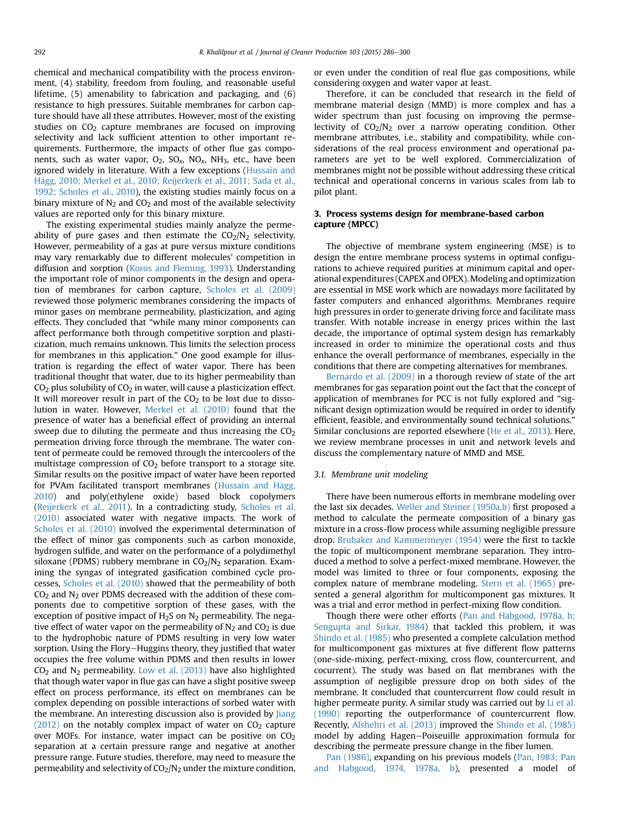chemical and mechanical compatibility with the process environment, (4) stability, freedom from fouling, and reasonable useful lifetime, (5) amenability to fabrication and packaging, and (6) resistance to high pressures. Suitable membranes for carbon capture should have all these attributes. However, most of the existing studies on  $CO<sub>2</sub>$  capture membranes are focused on improving selectivity and lack sufficient attention to other important requirements. Furthermore, the impacts of other flue gas components, such as water vapor,  $O_2$ ,  $SO_x$ ,  $NO_x$ ,  $NH_3$ , etc., have been ignored widely in literature. With a few exceptions ([Hussain and](#page-13-0) Hägg, 2010; Merkel et al., 2010; Reijerkerk et al., 2011; Sada et al., [1992; Scholes et al., 2010\)](#page-13-0), the existing studies mainly focus on a binary mixture of  $N_2$  and  $CO_2$  and most of the available selectivity values are reported only for this binary mixture.

The existing experimental studies mainly analyze the permeability of pure gases and then estimate the  $CO<sub>2</sub>/N<sub>2</sub>$  selectivity. However, permeability of a gas at pure versus mixture conditions may vary remarkably due to different molecules' competition in diffusion and sorption [\(Koros and Fleming, 1993\)](#page-13-0). Understanding the important role of minor components in the design and operation of membranes for carbon capture, [Scholes et al. \(2009\)](#page-14-0) reviewed those polymeric membranes considering the impacts of minor gases on membrane permeability, plasticization, and aging effects. They concluded that "while many minor components can affect performance both through competitive sorption and plasticization, much remains unknown. This limits the selection process for membranes in this application." One good example for illustration is regarding the effect of water vapor. There has been traditional thought that water, due to its higher permeability than  $CO<sub>2</sub>$  plus solubility of  $CO<sub>2</sub>$  in water, will cause a plasticization effect. It will moreover result in part of the  $CO<sub>2</sub>$  to be lost due to dissolution in water. However, [Merkel et al. \(2010\)](#page-13-0) found that the presence of water has a beneficial effect of providing an internal sweep due to diluting the permeate and thus increasing the  $CO<sub>2</sub>$ permeation driving force through the membrane. The water content of permeate could be removed through the intercoolers of the multistage compression of  $CO<sub>2</sub>$  before transport to a storage site. Similar results on the positive impact of water have been reported for PVAm facilitated transport membranes (Hussain and Hägg, [2010](#page-13-0)) and poly(ethylene oxide) based block copolymers ([Reijerkerk et al., 2011\)](#page-14-0). In a contradicting study, [Scholes et al.](#page-14-0) [\(2010\)](#page-14-0) associated water with negative impacts. The work of [Scholes et al. \(2010\)](#page-14-0) involved the experimental determination of the effect of minor gas components such as carbon monoxide, hydrogen sulfide, and water on the performance of a polydimethyl siloxane (PDMS) rubbery membrane in  $CO<sub>2</sub>/N<sub>2</sub>$  separation. Examining the syngas of integrated gasification combined cycle processes, [Scholes et al. \(2010\)](#page-14-0) showed that the permeability of both  $CO<sub>2</sub>$  and  $N<sub>2</sub>$  over PDMS decreased with the addition of these components due to competitive sorption of these gases, with the exception of positive impact of  $H_2S$  on  $N_2$  permeability. The negative effect of water vapor on the permeability of  $N_2$  and  $CO_2$  is due to the hydrophobic nature of PDMS resulting in very low water sorption. Using the Flory–Huggins theory, they justified that water occupies the free volume within PDMS and then results in lower  $CO<sub>2</sub>$  and N<sub>2</sub> permeability. [Low et al. \(2013\)](#page-13-0) have also highlighted that though water vapor in flue gas can have a slight positive sweep effect on process performance, its effect on membranes can be complex depending on possible interactions of sorbed water with the membrane. An interesting discussion also is provided by [Jiang](#page-13-0)  $(2012)$  on the notably complex impact of water on  $CO<sub>2</sub>$  capture over MOFs. For instance, water impact can be positive on  $CO<sub>2</sub>$ separation at a certain pressure range and negative at another pressure range. Future studies, therefore, may need to measure the permeability and selectivity of  $CO<sub>2</sub>/N<sub>2</sub>$  under the mixture condition, or even under the condition of real flue gas compositions, while considering oxygen and water vapor at least.

Therefore, it can be concluded that research in the field of membrane material design (MMD) is more complex and has a wider spectrum than just focusing on improving the permselectivity of  $CO<sub>2</sub>/N<sub>2</sub>$  over a narrow operating condition. Other membrane attributes, i.e., stability and compatibility, while considerations of the real process environment and operational parameters are yet to be well explored. Commercialization of membranes might not be possible without addressing these critical technical and operational concerns in various scales from lab to pilot plant.

#### 3. Process systems design for membrane-based carbon capture (MPCC)

The objective of membrane system engineering (MSE) is to design the entire membrane process systems in optimal configurations to achieve required purities at minimum capital and operational expenditures (CAPEX and OPEX). Modeling and optimization are essential in MSE work which are nowadays more facilitated by faster computers and enhanced algorithms. Membranes require high pressures in order to generate driving force and facilitate mass transfer. With notable increase in energy prices within the last decade, the importance of optimal system design has remarkably increased in order to minimize the operational costs and thus enhance the overall performance of membranes, especially in the conditions that there are competing alternatives for membranes.

[Bernardo et al. \(2009\)](#page-12-0) in a thorough review of state of the art membranes for gas separation point out the fact that the concept of application of membranes for PCC is not fully explored and "significant design optimization would be required in order to identify efficient, feasible, and environmentally sound technical solutions." Similar conclusions are reported elsewhere [\(He et al., 2013](#page-13-0)). Here, we review membrane processes in unit and network levels and discuss the complementary nature of MMD and MSE.

#### 3.1. Membrane unit modeling

There have been numerous efforts in membrane modeling over the last six decades. [Weller and Steiner \(1950a,b\)](#page-14-0) first proposed a method to calculate the permeate composition of a binary gas mixture in a cross-flow process while assuming negligible pressure drop. [Brubaker and Kammermeyer \(1954\)](#page-12-0) were the first to tackle the topic of multicomponent membrane separation. They introduced a method to solve a perfect-mixed membrane. However, the model was limited to three or four components, exposing the complex nature of membrane modeling. [Stern et al. \(1965\)](#page-14-0) presented a general algorithm for multicomponent gas mixtures. It was a trial and error method in perfect-mixing flow condition.

Though there were other efforts ([Pan and Habgood, 1978a, b;](#page-13-0) [Sengupta and Sirkar, 1984](#page-13-0)) that tackled this problem, it was [Shindo et al. \(1985\)](#page-14-0) who presented a complete calculation method for multicomponent gas mixtures at five different flow patterns (one-side-mixing, perfect-mixing, cross flow, countercurrent, and cocurrent). The study was based on flat membranes with the assumption of negligible pressure drop on both sides of the membrane. It concluded that countercurrent flow could result in higher permeate purity. A similar study was carried out by [Li et al.](#page-13-0) [\(1990\)](#page-13-0) reporting the outperformance of countercurrent flow. Recently, [Alshehri et al. \(2013\)](#page-12-0) improved the [Shindo et al. \(1985\)](#page-14-0) model by adding Hagen-Poiseuille approximation formula for describing the permeate pressure change in the fiber lumen.

[Pan \(1986\),](#page-13-0) expanding on his previous models [\(Pan, 1983; Pan](#page-13-0) [and Habgood, 1974, 1978a, b\)](#page-13-0), presented a model of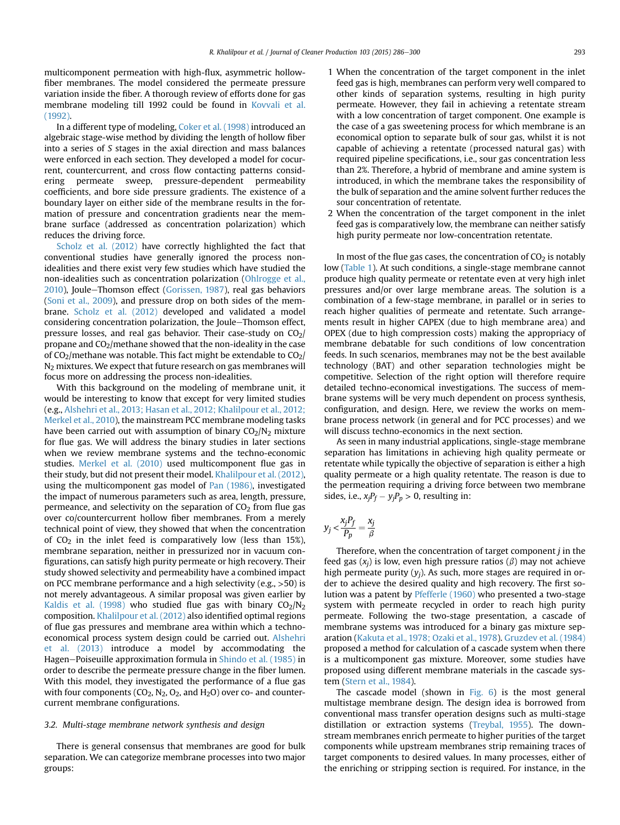multicomponent permeation with high-flux, asymmetric hollowfiber membranes. The model considered the permeate pressure variation inside the fiber. A thorough review of efforts done for gas membrane modeling till 1992 could be found in [Kovvali et al.](#page-13-0) [\(1992\)](#page-13-0).

In a different type of modeling, [Coker et al. \(1998\)](#page-12-0) introduced an algebraic stage-wise method by dividing the length of hollow fiber into a series of S stages in the axial direction and mass balances were enforced in each section. They developed a model for cocurrent, countercurrent, and cross flow contacting patterns considering permeate sweep, pressure-dependent permeability coefficients, and bore side pressure gradients. The existence of a boundary layer on either side of the membrane results in the formation of pressure and concentration gradients near the membrane surface (addressed as concentration polarization) which reduces the driving force.

[Scholz et al. \(2012\)](#page-14-0) have correctly highlighted the fact that conventional studies have generally ignored the process nonidealities and there exist very few studies which have studied the non-idealities such as concentration polarization [\(Ohlrogge et al.,](#page-13-0) [2010\)](#page-13-0), Joule-Thomson effect ([Gorissen, 1987](#page-12-0)), real gas behaviors ([Soni et al., 2009](#page-14-0)), and pressure drop on both sides of the membrane. [Scholz et al. \(2012\)](#page-14-0) developed and validated a model considering concentration polarization, the Joule-Thomson effect, pressure losses, and real gas behavior. Their case-study on  $CO<sub>2</sub>/$ propane and  $CO<sub>2</sub>/$ methane showed that the non-ideality in the case of  $CO<sub>2</sub>/$ methane was notable. This fact might be extendable to  $CO<sub>2</sub>/$  $N<sub>2</sub>$  mixtures. We expect that future research on gas membranes will focus more on addressing the process non-idealities.

With this background on the modeling of membrane unit, it would be interesting to know that except for very limited studies (e.g., [Alshehri et al., 2013; Hasan et al., 2012; Khalilpour et al., 2012;](#page-12-0) [Merkel et al., 2010](#page-12-0)), the mainstream PCC membrane modeling tasks have been carried out with assumption of binary  $CO<sub>2</sub>/N<sub>2</sub>$  mixture for flue gas. We will address the binary studies in later sections when we review membrane systems and the techno-economic studies. [Merkel et al. \(2010\)](#page-13-0) used multicomponent flue gas in their study, but did not present their model. [Khalilpour et al. \(2012\),](#page-13-0) using the multicomponent gas model of [Pan \(1986\),](#page-13-0) investigated the impact of numerous parameters such as area, length, pressure, permeance, and selectivity on the separation of  $CO<sub>2</sub>$  from flue gas over co/countercurrent hollow fiber membranes. From a merely technical point of view, they showed that when the concentration of  $CO<sub>2</sub>$  in the inlet feed is comparatively low (less than 15%), membrane separation, neither in pressurized nor in vacuum configurations, can satisfy high purity permeate or high recovery. Their study showed selectivity and permeability have a combined impact on PCC membrane performance and a high selectivity (e.g., >50) is not merely advantageous. A similar proposal was given earlier by [Kaldis et al. \(1998\)](#page-13-0) who studied flue gas with binary  $CO<sub>2</sub>/N<sub>2</sub>$ composition. [Khalilpour et al. \(2012\)](#page-13-0) also identified optimal regions of flue gas pressures and membrane area within which a technoeconomical process system design could be carried out. [Alshehri](#page-12-0) [et al. \(2013\)](#page-12-0) introduce a model by accommodating the Hagen–Poiseuille approximation formula in [Shindo et al. \(1985\)](#page-14-0) in order to describe the permeate pressure change in the fiber lumen. With this model, they investigated the performance of a flue gas with four components  $(CO_2, N_2, O_2, and H_2O)$  over co- and countercurrent membrane configurations.

#### 3.2. Multi-stage membrane network synthesis and design

There is general consensus that membranes are good for bulk separation. We can categorize membrane processes into two major groups:

- 1 When the concentration of the target component in the inlet feed gas is high, membranes can perform very well compared to other kinds of separation systems, resulting in high purity permeate. However, they fail in achieving a retentate stream with a low concentration of target component. One example is the case of a gas sweetening process for which membrane is an economical option to separate bulk of sour gas, whilst it is not capable of achieving a retentate (processed natural gas) with required pipeline specifications, i.e., sour gas concentration less than 2%. Therefore, a hybrid of membrane and amine system is introduced, in which the membrane takes the responsibility of the bulk of separation and the amine solvent further reduces the sour concentration of retentate.
- 2 When the concentration of the target component in the inlet feed gas is comparatively low, the membrane can neither satisfy high purity permeate nor low-concentration retentate.

In most of the flue gas cases, the concentration of  $CO<sub>2</sub>$  is notably low ([Table 1\)](#page-1-0). At such conditions, a single-stage membrane cannot produce high quality permeate or retentate even at very high inlet pressures and/or over large membrane areas. The solution is a combination of a few-stage membrane, in parallel or in series to reach higher qualities of permeate and retentate. Such arrangements result in higher CAPEX (due to high membrane area) and OPEX (due to high compression costs) making the appropriacy of membrane debatable for such conditions of low concentration feeds. In such scenarios, membranes may not be the best available technology (BAT) and other separation technologies might be competitive. Selection of the right option will therefore require detailed techno-economical investigations. The success of membrane systems will be very much dependent on process synthesis, configuration, and design. Here, we review the works on membrane process network (in general and for PCC processes) and we will discuss techno-economics in the next section.

As seen in many industrial applications, single-stage membrane separation has limitations in achieving high quality permeate or retentate while typically the objective of separation is either a high quality permeate or a high quality retentate. The reason is due to the permeation requiring a driving force between two membrane sides, i.e.,  $x_jP_f - y_jP_p > 0$ , resulting in:

$$
y_j < \frac{x_j P_f}{P_p} = \frac{x_j}{\beta}
$$

Therefore, when the concentration of target component  $j$  in the feed gas  $(x_i)$  is low, even high pressure ratios  $(\beta)$  may not achieve high permeate purity  $(y_j)$ . As such, more stages are required in order to achieve the desired quality and high recovery. The first solution was a patent by [Pfefferle \(1960\)](#page-13-0) who presented a two-stage system with permeate recycled in order to reach high purity permeate. Following the two-stage presentation, a cascade of membrane systems was introduced for a binary gas mixture separation [\(Kakuta et al., 1978; Ozaki et al., 1978\)](#page-13-0). [Gruzdev et al. \(1984\)](#page-12-0) proposed a method for calculation of a cascade system when there is a multicomponent gas mixture. Moreover, some studies have proposed using different membrane materials in the cascade system ([Stern et al., 1984\)](#page-14-0).

The cascade model (shown in [Fig. 6](#page-8-0)) is the most general multistage membrane design. The design idea is borrowed from conventional mass transfer operation designs such as multi-stage distillation or extraction systems [\(Treybal, 1955](#page-14-0)). The downstream membranes enrich permeate to higher purities of the target components while upstream membranes strip remaining traces of target components to desired values. In many processes, either of the enriching or stripping section is required. For instance, in the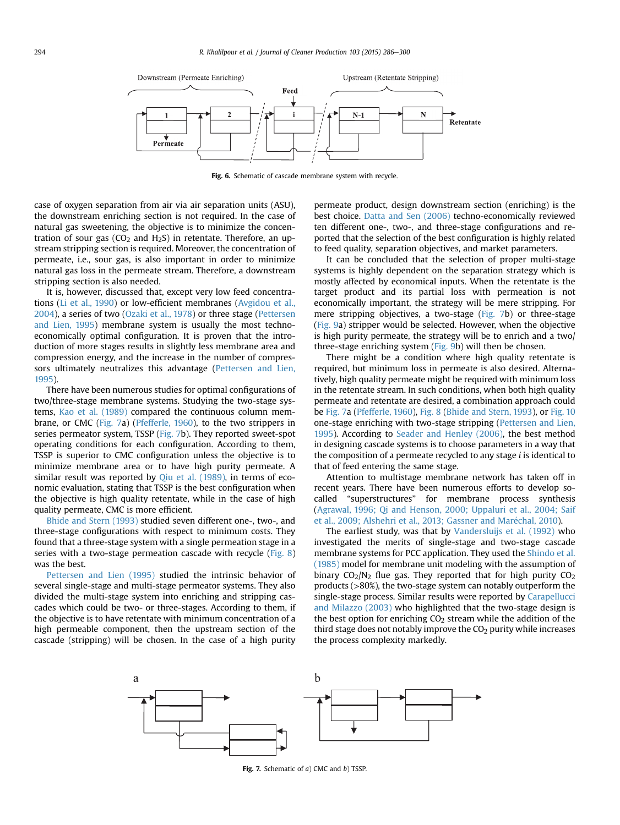<span id="page-8-0"></span>

Fig. 6. Schematic of cascade membrane system with recycle.

case of oxygen separation from air via air separation units (ASU), the downstream enriching section is not required. In the case of natural gas sweetening, the objective is to minimize the concentration of sour gas ( $CO<sub>2</sub>$  and  $H<sub>2</sub>S$ ) in retentate. Therefore, an upstream stripping section is required. Moreover, the concentration of permeate, i.e., sour gas, is also important in order to minimize natural gas loss in the permeate stream. Therefore, a downstream stripping section is also needed.

It is, however, discussed that, except very low feed concentrations ([Li et al., 1990](#page-13-0)) or low-efficient membranes ([Avgidou et al.,](#page-12-0) [2004](#page-12-0)), a series of two ([Ozaki et al., 1978\)](#page-13-0) or three stage [\(Pettersen](#page-13-0) [and Lien, 1995\)](#page-13-0) membrane system is usually the most technoeconomically optimal configuration. It is proven that the introduction of more stages results in slightly less membrane area and compression energy, and the increase in the number of compressors ultimately neutralizes this advantage [\(Pettersen and Lien,](#page-13-0) [1995](#page-13-0)).

There have been numerous studies for optimal configurations of two/three-stage membrane systems. Studying the two-stage systems, [Kao et al. \(1989\)](#page-13-0) compared the continuous column membrane, or CMC (Fig. 7a) ([Pfefferle, 1960](#page-13-0)), to the two strippers in series permeator system, TSSP (Fig. 7b). They reported sweet-spot operating conditions for each configuration. According to them, TSSP is superior to CMC configuration unless the objective is to minimize membrane area or to have high purity permeate. A similar result was reported by [Qiu et al. \(1989\)](#page-13-0), in terms of economic evaluation, stating that TSSP is the best configuration when the objective is high quality retentate, while in the case of high quality permeate, CMC is more efficient.

[Bhide and Stern \(1993\)](#page-12-0) studied seven different one-, two-, and three-stage configurations with respect to minimum costs. They found that a three-stage system with a single permeation stage in a series with a two-stage permeation cascade with recycle ([Fig. 8\)](#page-9-0) was the best.

[Pettersen and Lien \(1995\)](#page-13-0) studied the intrinsic behavior of several single-stage and multi-stage permeator systems. They also divided the multi-stage system into enriching and stripping cascades which could be two- or three-stages. According to them, if the objective is to have retentate with minimum concentration of a high permeable component, then the upstream section of the cascade (stripping) will be chosen. In the case of a high purity permeate product, design downstream section (enriching) is the best choice. [Datta and Sen \(2006\)](#page-12-0) techno-economically reviewed ten different one-, two-, and three-stage configurations and reported that the selection of the best configuration is highly related to feed quality, separation objectives, and market parameters.

It can be concluded that the selection of proper multi-stage systems is highly dependent on the separation strategy which is mostly affected by economical inputs. When the retentate is the target product and its partial loss with permeation is not economically important, the strategy will be mere stripping. For mere stripping objectives, a two-stage (Fig. 7b) or three-stage ([Fig. 9](#page-9-0)a) stripper would be selected. However, when the objective is high purity permeate, the strategy will be to enrich and a two/ three-stage enriching system [\(Fig. 9b](#page-9-0)) will then be chosen.

There might be a condition where high quality retentate is required, but minimum loss in permeate is also desired. Alternatively, high quality permeate might be required with minimum loss in the retentate stream. In such conditions, when both high quality permeate and retentate are desired, a combination approach could be Fig. 7a ([Pfefferle, 1960](#page-13-0)), [Fig. 8](#page-9-0) [\(Bhide and Stern, 1993](#page-12-0)), or [Fig. 10](#page-9-0) one-stage enriching with two-stage stripping [\(Pettersen and Lien,](#page-13-0) [1995](#page-13-0)). According to [Seader and Henley \(2006\),](#page-14-0) the best method in designing cascade systems is to choose parameters in a way that the composition of a permeate recycled to any stage i is identical to that of feed entering the same stage.

Attention to multistage membrane network has taken off in recent years. There have been numerous efforts to develop socalled "superstructures" for membrane process synthesis ([Agrawal, 1996; Qi and Henson, 2000; Uppaluri et al., 2004; Saif](#page-12-0) et al., 2009; Alshehri et al., 2013; Gassner and Maréchal, 2010).

The earliest study, was that by [Vandersluijs et al. \(1992\)](#page-14-0) who investigated the merits of single-stage and two-stage cascade membrane systems for PCC application. They used the [Shindo et al.](#page-14-0) [\(1985\)](#page-14-0) model for membrane unit modeling with the assumption of binary  $CO<sub>2</sub>/N<sub>2</sub>$  flue gas. They reported that for high purity  $CO<sub>2</sub>$ products (>80%), the two-stage system can notably outperform the single-stage process. Similar results were reported by [Carapellucci](#page-12-0) [and Milazzo \(2003\)](#page-12-0) who highlighted that the two-stage design is the best option for enriching  $CO<sub>2</sub>$  stream while the addition of the third stage does not notably improve the  $CO<sub>2</sub>$  purity while increases the process complexity markedly.



Fig. 7. Schematic of a) CMC and b) TSSP.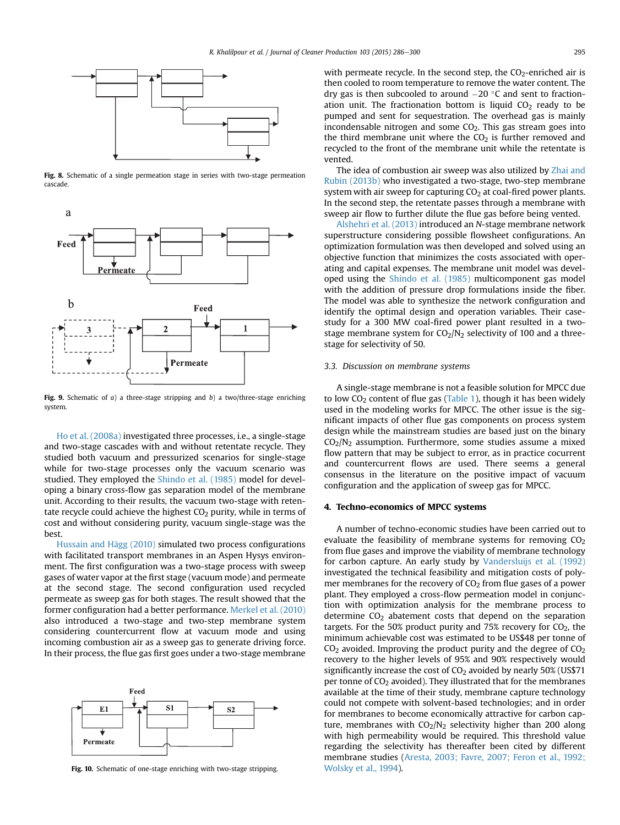<span id="page-9-0"></span>

Fig. 8. Schematic of a single permeation stage in series with two-stage permeation cascade.



Fig. 9. Schematic of  $a$ ) a three-stage stripping and  $b$ ) a two/three-stage enriching system.

[Ho et al. \(2008a\)](#page-13-0) investigated three processes, i.e., a single-stage and two-stage cascades with and without retentate recycle. They studied both vacuum and pressurized scenarios for single-stage while for two-stage processes only the vacuum scenario was studied. They employed the [Shindo et al. \(1985\)](#page-14-0) model for developing a binary cross-flow gas separation model of the membrane unit. According to their results, the vacuum two-stage with retentate recycle could achieve the highest  $CO<sub>2</sub>$  purity, while in terms of cost and without considering purity, vacuum single-stage was the best.

[Hussain and H](#page-13-0)ä[gg \(2010\)](#page-13-0) simulated two process configurations with facilitated transport membranes in an Aspen Hysys environment. The first configuration was a two-stage process with sweep gases of water vapor at the first stage (vacuum mode) and permeate at the second stage. The second configuration used recycled permeate as sweep gas for both stages. The result showed that the former configuration had a better performance. [Merkel et al. \(2010\)](#page-13-0) also introduced a two-stage and two-step membrane system considering countercurrent flow at vacuum mode and using incoming combustion air as a sweep gas to generate driving force. In their process, the flue gas first goes under a two-stage membrane



Fig. 10. Schematic of one-stage enriching with two-stage stripping.

with permeate recycle. In the second step, the  $CO<sub>2</sub>$ -enriched air is then cooled to room temperature to remove the water content. The dry gas is then subcooled to around  $-20$  °C and sent to fractionation unit. The fractionation bottom is liquid  $CO<sub>2</sub>$  ready to be pumped and sent for sequestration. The overhead gas is mainly incondensable nitrogen and some  $CO<sub>2</sub>$ . This gas stream goes into the third membrane unit where the  $CO<sub>2</sub>$  is further removed and recycled to the front of the membrane unit while the retentate is vented.

The idea of combustion air sweep was also utilized by [Zhai and](#page-14-0) [Rubin \(2013b\)](#page-14-0) who investigated a two-stage, two-step membrane system with air sweep for capturing  $CO<sub>2</sub>$  at coal-fired power plants. In the second step, the retentate passes through a membrane with sweep air flow to further dilute the flue gas before being vented.

[Alshehri et al. \(2013\)](#page-12-0) introduced an N-stage membrane network superstructure considering possible flowsheet configurations. An optimization formulation was then developed and solved using an objective function that minimizes the costs associated with operating and capital expenses. The membrane unit model was developed using the [Shindo et al. \(1985\)](#page-14-0) multicomponent gas model with the addition of pressure drop formulations inside the fiber. The model was able to synthesize the network configuration and identify the optimal design and operation variables. Their casestudy for a 300 MW coal-fired power plant resulted in a twostage membrane system for  $CO<sub>2</sub>/N<sub>2</sub>$  selectivity of 100 and a threestage for selectivity of 50.

#### 3.3. Discussion on membrane systems

A single-stage membrane is not a feasible solution for MPCC due to low  $CO<sub>2</sub>$  content of flue gas ([Table 1\)](#page-1-0), though it has been widely used in the modeling works for MPCC. The other issue is the significant impacts of other flue gas components on process system design while the mainstream studies are based just on the binary  $CO<sub>2</sub>/N<sub>2</sub>$  assumption. Furthermore, some studies assume a mixed flow pattern that may be subject to error, as in practice cocurrent and countercurrent flows are used. There seems a general consensus in the literature on the positive impact of vacuum configuration and the application of sweep gas for MPCC.

#### 4. Techno-economics of MPCC systems

A number of techno-economic studies have been carried out to evaluate the feasibility of membrane systems for removing  $CO<sub>2</sub>$ from flue gases and improve the viability of membrane technology for carbon capture. An early study by [Vandersluijs et al. \(1992\)](#page-14-0) investigated the technical feasibility and mitigation costs of polymer membranes for the recovery of  $CO<sub>2</sub>$  from flue gases of a power plant. They employed a cross-flow permeation model in conjunction with optimization analysis for the membrane process to determine  $CO<sub>2</sub>$  abatement costs that depend on the separation targets. For the 50% product purity and 75% recovery for  $CO<sub>2</sub>$ , the minimum achievable cost was estimated to be US\$48 per tonne of  $CO<sub>2</sub>$  avoided. Improving the product purity and the degree of  $CO<sub>2</sub>$ recovery to the higher levels of 95% and 90% respectively would significantly increase the cost of  $CO<sub>2</sub>$  avoided by nearly 50% (US\$71 per tonne of  $CO<sub>2</sub>$  avoided). They illustrated that for the membranes available at the time of their study, membrane capture technology could not compete with solvent-based technologies; and in order for membranes to become economically attractive for carbon capture, membranes with  $CO<sub>2</sub>/N<sub>2</sub>$  selectivity higher than 200 along with high permeability would be required. This threshold value regarding the selectivity has thereafter been cited by different membrane studies ([Aresta, 2003; Favre, 2007; Feron et al., 1992;](#page-12-0) [Wolsky et al., 1994](#page-12-0)).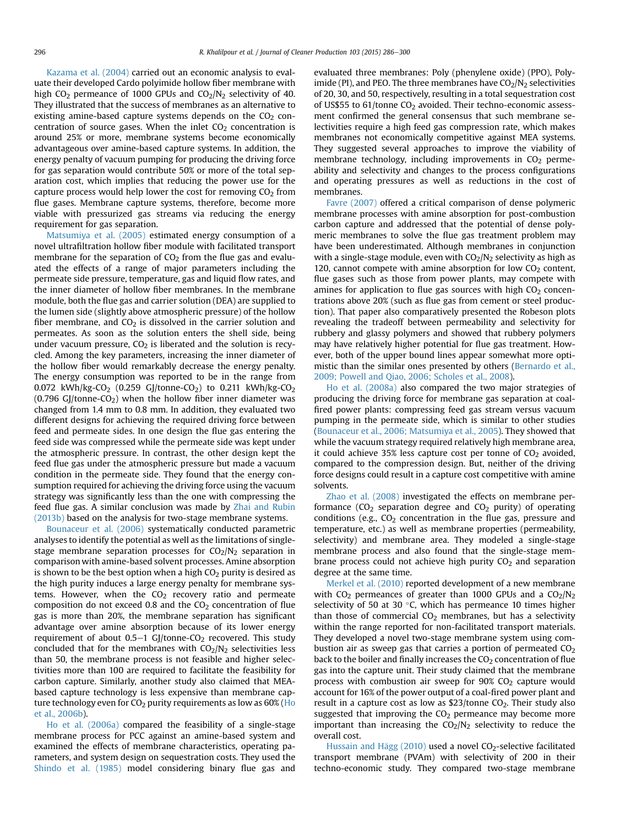[Kazama et al. \(2004\)](#page-13-0) carried out an economic analysis to evaluate their developed Cardo polyimide hollow fiber membrane with high  $CO<sub>2</sub>$  permeance of 1000 GPUs and  $CO<sub>2</sub>/N<sub>2</sub>$  selectivity of 40. They illustrated that the success of membranes as an alternative to existing amine-based capture systems depends on the  $CO<sub>2</sub>$  concentration of source gases. When the inlet  $CO<sub>2</sub>$  concentration is around 25% or more, membrane systems become economically advantageous over amine-based capture systems. In addition, the energy penalty of vacuum pumping for producing the driving force for gas separation would contribute 50% or more of the total separation cost, which implies that reducing the power use for the capture process would help lower the cost for removing  $CO<sub>2</sub>$  from flue gases. Membrane capture systems, therefore, become more viable with pressurized gas streams via reducing the energy requirement for gas separation.

[Matsumiya et al. \(2005\)](#page-13-0) estimated energy consumption of a novel ultrafiltration hollow fiber module with facilitated transport membrane for the separation of  $CO<sub>2</sub>$  from the flue gas and evaluated the effects of a range of major parameters including the permeate side pressure, temperature, gas and liquid flow rates, and the inner diameter of hollow fiber membranes. In the membrane module, both the flue gas and carrier solution (DEA) are supplied to the lumen side (slightly above atmospheric pressure) of the hollow fiber membrane, and  $CO<sub>2</sub>$  is dissolved in the carrier solution and permeates. As soon as the solution enters the shell side, being under vacuum pressure,  $CO<sub>2</sub>$  is liberated and the solution is recycled. Among the key parameters, increasing the inner diameter of the hollow fiber would remarkably decrease the energy penalty. The energy consumption was reported to be in the range from 0.072 kWh/kg-CO<sub>2</sub> (0.259 GJ/tonne-CO<sub>2</sub>) to 0.211 kWh/kg-CO<sub>2</sub> (0.796 GJ/tonne-CO<sub>2</sub>) when the hollow fiber inner diameter was changed from 1.4 mm to 0.8 mm. In addition, they evaluated two different designs for achieving the required driving force between feed and permeate sides. In one design the flue gas entering the feed side was compressed while the permeate side was kept under the atmospheric pressure. In contrast, the other design kept the feed flue gas under the atmospheric pressure but made a vacuum condition in the permeate side. They found that the energy consumption required for achieving the driving force using the vacuum strategy was significantly less than the one with compressing the feed flue gas. A similar conclusion was made by [Zhai and Rubin](#page-14-0) [\(2013b\)](#page-14-0) based on the analysis for two-stage membrane systems.

[Bounaceur et al. \(2006\)](#page-12-0) systematically conducted parametric analyses to identify the potential as well as the limitations of singlestage membrane separation processes for  $CO<sub>2</sub>/N<sub>2</sub>$  separation in comparison with amine-based solvent processes. Amine absorption is shown to be the best option when a high  $CO<sub>2</sub>$  purity is desired as the high purity induces a large energy penalty for membrane systems. However, when the  $CO<sub>2</sub>$  recovery ratio and permeate composition do not exceed 0.8 and the  $CO<sub>2</sub>$  concentration of flue gas is more than 20%, the membrane separation has significant advantage over amine absorption because of its lower energy requirement of about 0.5-1 GJ/tonne-CO<sub>2</sub> recovered. This study concluded that for the membranes with  $CO<sub>2</sub>/N<sub>2</sub>$  selectivities less than 50, the membrane process is not feasible and higher selectivities more than 100 are required to facilitate the feasibility for carbon capture. Similarly, another study also claimed that MEAbased capture technology is less expensive than membrane capture technology even for  $CO<sub>2</sub>$  purity requirements as low as  $60\%$  [\(Ho](#page-13-0) [et al., 2006b\)](#page-13-0).

[Ho et al. \(2006a\)](#page-13-0) compared the feasibility of a single-stage membrane process for PCC against an amine-based system and examined the effects of membrane characteristics, operating parameters, and system design on sequestration costs. They used the [Shindo et al. \(1985\)](#page-14-0) model considering binary flue gas and evaluated three membranes: Poly (phenylene oxide) (PPO), Polyimide (PI), and PEO. The three membranes have  $CO<sub>2</sub>/N<sub>2</sub>$  selectivities of 20, 30, and 50, respectively, resulting in a total sequestration cost of US\$55 to 61/tonne  $CO<sub>2</sub>$  avoided. Their techno-economic assessment confirmed the general consensus that such membrane selectivities require a high feed gas compression rate, which makes membranes not economically competitive against MEA systems. They suggested several approaches to improve the viability of membrane technology, including improvements in  $CO<sub>2</sub>$  permeability and selectivity and changes to the process configurations and operating pressures as well as reductions in the cost of membranes.

[Favre \(2007\)](#page-12-0) offered a critical comparison of dense polymeric membrane processes with amine absorption for post-combustion carbon capture and addressed that the potential of dense polymeric membranes to solve the flue gas treatment problem may have been underestimated. Although membranes in conjunction with a single-stage module, even with  $CO<sub>2</sub>/N<sub>2</sub>$  selectivity as high as 120, cannot compete with amine absorption for low  $CO<sub>2</sub>$  content, flue gases such as those from power plants, may compete with amines for application to flue gas sources with high  $CO<sub>2</sub>$  concentrations above 20% (such as flue gas from cement or steel production). That paper also comparatively presented the Robeson plots revealing the tradeoff between permeability and selectivity for rubbery and glassy polymers and showed that rubbery polymers may have relatively higher potential for flue gas treatment. However, both of the upper bound lines appear somewhat more opti-mistic than the similar ones presented by others ([Bernardo et al.,](#page-12-0) [2009; Powell and Qiao, 2006; Scholes et al., 2008\)](#page-12-0).

[Ho et al. \(2008a\)](#page-13-0) also compared the two major strategies of producing the driving force for membrane gas separation at coalfired power plants: compressing feed gas stream versus vacuum pumping in the permeate side, which is similar to other studies ([Bounaceur et al., 2006; Matsumiya et al., 2005\)](#page-12-0). They showed that while the vacuum strategy required relatively high membrane area, it could achieve 35% less capture cost per tonne of  $CO<sub>2</sub>$  avoided, compared to the compression design. But, neither of the driving force designs could result in a capture cost competitive with amine solvents.

[Zhao et al. \(2008\)](#page-14-0) investigated the effects on membrane performance  $(CO<sub>2</sub>$  separation degree and  $CO<sub>2</sub>$  purity) of operating conditions (e.g.,  $CO<sub>2</sub>$  concentration in the flue gas, pressure and temperature, etc.) as well as membrane properties (permeability, selectivity) and membrane area. They modeled a single-stage membrane process and also found that the single-stage membrane process could not achieve high purity  $CO<sub>2</sub>$  and separation degree at the same time.

[Merkel et al. \(2010\)](#page-13-0) reported development of a new membrane with  $CO<sub>2</sub>$  permeances of greater than 1000 GPUs and a  $CO<sub>2</sub>/N<sub>2</sub>$ selectivity of 50 at 30  $\degree$ C, which has permeance 10 times higher than those of commercial  $CO<sub>2</sub>$  membranes, but has a selectivity within the range reported for non-facilitated transport materials. They developed a novel two-stage membrane system using combustion air as sweep gas that carries a portion of permeated  $CO<sub>2</sub>$ back to the boiler and finally increases the  $CO<sub>2</sub>$  concentration of flue gas into the capture unit. Their study claimed that the membrane process with combustion air sweep for  $90\%$  CO<sub>2</sub> capture would account for 16% of the power output of a coal-fired power plant and result in a capture cost as low as  $$23$ /tonne CO<sub>2</sub>. Their study also suggested that improving the  $CO<sub>2</sub>$  permeance may become more important than increasing the  $CO<sub>2</sub>/N<sub>2</sub>$  selectivity to reduce the overall cost.

Hussain and Hägg (2010) used a novel  $CO<sub>2</sub>$ -selective facilitated transport membrane (PVAm) with selectivity of 200 in their techno-economic study. They compared two-stage membrane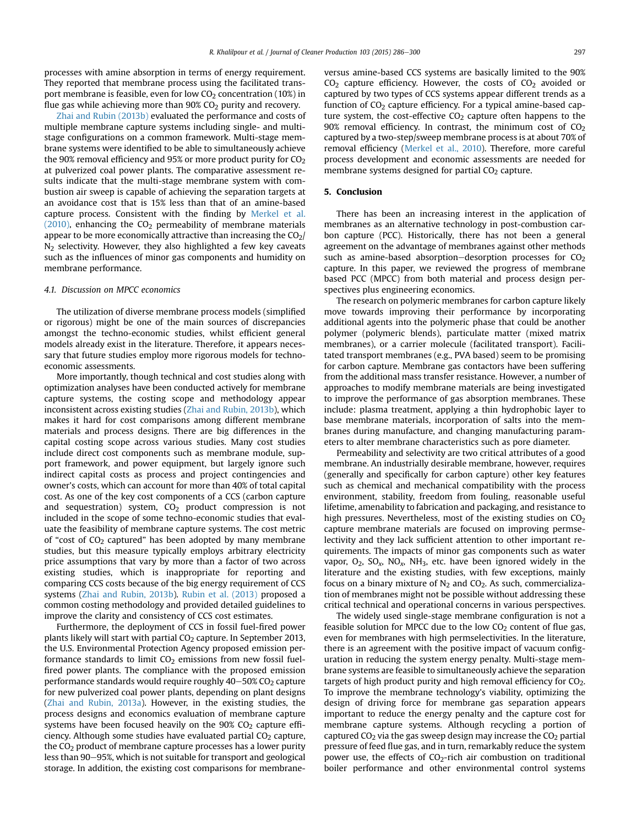processes with amine absorption in terms of energy requirement. They reported that membrane process using the facilitated transport membrane is feasible, even for low  $CO<sub>2</sub>$  concentration (10%) in flue gas while achieving more than  $90\%$  CO<sub>2</sub> purity and recovery.

[Zhai and Rubin \(2013b\)](#page-14-0) evaluated the performance and costs of multiple membrane capture systems including single- and multistage configurations on a common framework. Multi-stage membrane systems were identified to be able to simultaneously achieve the 90% removal efficiency and 95% or more product purity for  $CO<sub>2</sub>$ at pulverized coal power plants. The comparative assessment results indicate that the multi-stage membrane system with combustion air sweep is capable of achieving the separation targets at an avoidance cost that is 15% less than that of an amine-based capture process. Consistent with the finding by [Merkel et al.](#page-13-0)  $(2010)$ , enhancing the CO<sub>2</sub> permeability of membrane materials appear to be more economically attractive than increasing the  $CO<sub>2</sub>/$  $N<sub>2</sub>$  selectivity. However, they also highlighted a few key caveats such as the influences of minor gas components and humidity on membrane performance.

#### 4.1. Discussion on MPCC economics

The utilization of diverse membrane process models (simplified or rigorous) might be one of the main sources of discrepancies amongst the techno-economic studies, whilst efficient general models already exist in the literature. Therefore, it appears necessary that future studies employ more rigorous models for technoeconomic assessments.

More importantly, though technical and cost studies along with optimization analyses have been conducted actively for membrane capture systems, the costing scope and methodology appear inconsistent across existing studies ([Zhai and Rubin, 2013b](#page-14-0)), which makes it hard for cost comparisons among different membrane materials and process designs. There are big differences in the capital costing scope across various studies. Many cost studies include direct cost components such as membrane module, support framework, and power equipment, but largely ignore such indirect capital costs as process and project contingencies and owner's costs, which can account for more than 40% of total capital cost. As one of the key cost components of a CCS (carbon capture and sequestration) system,  $CO<sub>2</sub>$  product compression is not included in the scope of some techno-economic studies that evaluate the feasibility of membrane capture systems. The cost metric of "cost of  $CO<sub>2</sub>$  captured" has been adopted by many membrane studies, but this measure typically employs arbitrary electricity price assumptions that vary by more than a factor of two across existing studies, which is inappropriate for reporting and comparing CCS costs because of the big energy requirement of CCS systems [\(Zhai and Rubin, 2013b\)](#page-14-0). [Rubin et al. \(2013\)](#page-14-0) proposed a common costing methodology and provided detailed guidelines to improve the clarity and consistency of CCS cost estimates.

Furthermore, the deployment of CCS in fossil fuel-fired power plants likely will start with partial  $CO<sub>2</sub>$  capture. In September 2013, the U.S. Environmental Protection Agency proposed emission performance standards to limit  $CO<sub>2</sub>$  emissions from new fossil fuelfired power plants. The compliance with the proposed emission performance standards would require roughly  $40-50\%$  CO<sub>2</sub> capture for new pulverized coal power plants, depending on plant designs ([Zhai and Rubin, 2013a\)](#page-14-0). However, in the existing studies, the process designs and economics evaluation of membrane capture systems have been focused heavily on the  $90\%$  CO<sub>2</sub> capture efficiency. Although some studies have evaluated partial  $CO<sub>2</sub>$  capture, the  $CO<sub>2</sub>$  product of membrane capture processes has a lower purity less than 90–95%, which is not suitable for transport and geological storage. In addition, the existing cost comparisons for membraneversus amine-based CCS systems are basically limited to the 90%  $CO<sub>2</sub>$  capture efficiency. However, the costs of  $CO<sub>2</sub>$  avoided or captured by two types of CCS systems appear different trends as a function of  $CO<sub>2</sub>$  capture efficiency. For a typical amine-based capture system, the cost-effective  $CO<sub>2</sub>$  capture often happens to the 90% removal efficiency. In contrast, the minimum cost of  $CO<sub>2</sub>$ captured by a two-step/sweep membrane process is at about 70% of removal efficiency ([Merkel et al., 2010\)](#page-13-0). Therefore, more careful process development and economic assessments are needed for membrane systems designed for partial  $CO<sub>2</sub>$  capture.

#### 5. Conclusion

There has been an increasing interest in the application of membranes as an alternative technology in post-combustion carbon capture (PCC). Historically, there has not been a general agreement on the advantage of membranes against other methods such as amine-based absorption–desorption processes for  $CO<sub>2</sub>$ capture. In this paper, we reviewed the progress of membrane based PCC (MPCC) from both material and process design perspectives plus engineering economics.

The research on polymeric membranes for carbon capture likely move towards improving their performance by incorporating additional agents into the polymeric phase that could be another polymer (polymeric blends), particulate matter (mixed matrix membranes), or a carrier molecule (facilitated transport). Facilitated transport membranes (e.g., PVA based) seem to be promising for carbon capture. Membrane gas contactors have been suffering from the additional mass transfer resistance. However, a number of approaches to modify membrane materials are being investigated to improve the performance of gas absorption membranes. These include: plasma treatment, applying a thin hydrophobic layer to base membrane materials, incorporation of salts into the membranes during manufacture, and changing manufacturing parameters to alter membrane characteristics such as pore diameter.

Permeability and selectivity are two critical attributes of a good membrane. An industrially desirable membrane, however, requires (generally and specifically for carbon capture) other key features such as chemical and mechanical compatibility with the process environment, stability, freedom from fouling, reasonable useful lifetime, amenability to fabrication and packaging, and resistance to high pressures. Nevertheless, most of the existing studies on  $CO<sub>2</sub>$ capture membrane materials are focused on improving permselectivity and they lack sufficient attention to other important requirements. The impacts of minor gas components such as water vapor,  $O_2$ ,  $SO_x$ ,  $NO_x$ ,  $NH_3$ , etc. have been ignored widely in the literature and the existing studies, with few exceptions, mainly focus on a binary mixture of  $N_2$  and  $CO_2$ . As such, commercialization of membranes might not be possible without addressing these critical technical and operational concerns in various perspectives.

The widely used single-stage membrane configuration is not a feasible solution for MPCC due to the low  $CO<sub>2</sub>$  content of flue gas, even for membranes with high permselectivities. In the literature, there is an agreement with the positive impact of vacuum configuration in reducing the system energy penalty. Multi-stage membrane systems are feasible to simultaneously achieve the separation targets of high product purity and high removal efficiency for  $CO<sub>2</sub>$ . To improve the membrane technology's viability, optimizing the design of driving force for membrane gas separation appears important to reduce the energy penalty and the capture cost for membrane capture systems. Although recycling a portion of captured  $CO<sub>2</sub>$  via the gas sweep design may increase the  $CO<sub>2</sub>$  partial pressure of feed flue gas, and in turn, remarkably reduce the system power use, the effects of  $CO<sub>2</sub>$ -rich air combustion on traditional boiler performance and other environmental control systems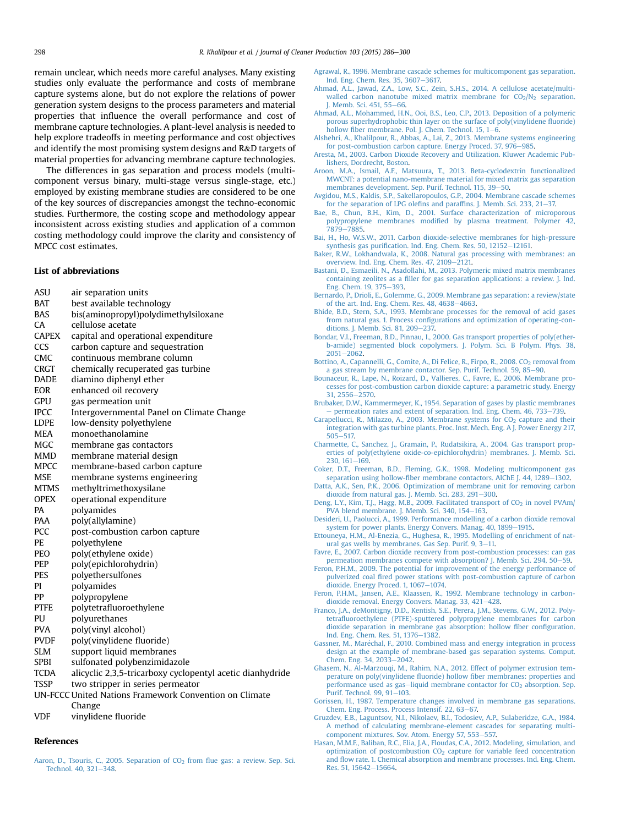<span id="page-12-0"></span>remain unclear, which needs more careful analyses. Many existing studies only evaluate the performance and costs of membrane capture systems alone, but do not explore the relations of power generation system designs to the process parameters and material properties that influence the overall performance and cost of membrane capture technologies. A plant-level analysis is needed to help explore tradeoffs in meeting performance and cost objectives and identify the most promising system designs and R&D targets of material properties for advancing membrane capture technologies.

The differences in gas separation and process models (multicomponent versus binary, multi-stage versus single-stage, etc.) employed by existing membrane studies are considered to be one of the key sources of discrepancies amongst the techno-economic studies. Furthermore, the costing scope and methodology appear inconsistent across existing studies and application of a common costing methodology could improve the clarity and consistency of MPCC cost estimates.

#### List of abbreviations

| <b>ASU</b>     | air separation units                                      |
|----------------|-----------------------------------------------------------|
| <b>BAT</b>     | best available technology                                 |
| <b>BAS</b>     | bis(aminopropyl)polydimethylsiloxane                      |
| CA             | cellulose acetate                                         |
| <b>CAPEX</b>   | capital and operational expenditure                       |
| CCS            | carbon capture and sequestration                          |
| <b>CMC</b>     | continuous membrane column                                |
| <b>CRGT</b>    | chemically recuperated gas turbine                        |
| <b>DADE</b>    | diamino diphenyl ether                                    |
| <b>EOR</b>     | enhanced oil recovery                                     |
| <b>GPU</b>     | gas permeation unit                                       |
| <b>IPCC</b>    | Intergovernmental Panel on Climate Change                 |
| <b>LDPE</b>    | low-density polyethylene                                  |
| MEA            | monoethanolamine                                          |
| <b>MGC</b>     | membrane gas contactors                                   |
| <b>MMD</b>     | membrane material design                                  |
| <b>MPCC</b>    | membrane-based carbon capture                             |
| <b>MSE</b>     | membrane systems engineering                              |
| <b>MTMS</b>    | methyltrimethoxysilane                                    |
| <b>OPEX</b>    | operational expenditure                                   |
| PA             | polyamides                                                |
| PAA            | poly(allylamine)                                          |
| <b>PCC</b>     | post-combustion carbon capture                            |
| PE             | polyethylene                                              |
| <b>PEO</b>     | poly(ethylene oxide)                                      |
| <b>PEP</b>     | poly(epichlorohydrin)                                     |
| <b>PES</b>     | polyethersulfones                                         |
| PI             | polyamides                                                |
| PP             | polypropylene                                             |
| <b>PTFE</b>    | polytetrafluoroethylene                                   |
| PU             | polyurethanes                                             |
| <b>PVA</b>     | poly(vinyl alcohol)                                       |
| <b>PVDF</b>    | poly(vinylidene fluoride)                                 |
| <b>SLM</b>     | support liquid membranes                                  |
| SPBI           | sulfonated polybenzimidazole                              |
| <b>TCDA</b>    | alicyclic 2,3,5-tricarboxy cyclopentyl acetic dianhydride |
| <b>TSSP</b>    | two stripper in series permeator                          |
|                | UN-FCCC United Nations Framework Convention on Climate    |
|                | Change                                                    |
| $\overline{I}$ | والتراز المستورين<br>$-$ 0. $ +$ 1.                       |

VDF vinylidene fluoride

#### References

Aaron, D., Tsouris, C., 2005. Separation of  $CO<sub>2</sub>$  from fl[ue gas: a review. Sep. Sci.](http://refhub.elsevier.com/S0959-6526(14)01092-0/sref1) [Technol. 40, 321](http://refhub.elsevier.com/S0959-6526(14)01092-0/sref1)-[348](http://refhub.elsevier.com/S0959-6526(14)01092-0/sref1).

- [Agrawal, R., 1996. Membrane cascade schemes for multicomponent gas separation.](http://refhub.elsevier.com/S0959-6526(14)01092-0/sref2) [Ind. Eng. Chem. Res. 35, 3607](http://refhub.elsevier.com/S0959-6526(14)01092-0/sref2)-[3617.](http://refhub.elsevier.com/S0959-6526(14)01092-0/sref2)
- [Ahmad, A.L., Jawad, Z.A., Low, S.C., Zein, S.H.S., 2014. A cellulose acetate/multi](http://refhub.elsevier.com/S0959-6526(14)01092-0/sref3)walled carbon nanotube mixed matrix membrane for  $CO<sub>2</sub>/N<sub>2</sub>$  [separation.](http://refhub.elsevier.com/S0959-6526(14)01092-0/sref3) [J. Memb. Sci. 451, 55](http://refhub.elsevier.com/S0959-6526(14)01092-0/sref3)-[66](http://refhub.elsevier.com/S0959-6526(14)01092-0/sref3).
- [Ahmad, A.L., Mohammed, H.N., Ooi, B.S., Leo, C.P., 2013. Deposition of a polymeric](http://refhub.elsevier.com/S0959-6526(14)01092-0/sref4) [porous superhydrophobic thin layer on the surface of poly\(vinylidene](http://refhub.elsevier.com/S0959-6526(14)01092-0/sref4) fluoride) hollow fiber membrane. Pol. I. Chem. Technol.  $15, 1-6$  $15, 1-6$ .
- [Alshehri, A., Khalilpour, R., Abbas, A., Lai, Z., 2013. Membrane systems engineering](http://refhub.elsevier.com/S0959-6526(14)01092-0/sref5) [for post-combustion carbon capture. Energy Proced. 37, 976](http://refhub.elsevier.com/S0959-6526(14)01092-0/sref5)–[985.](http://refhub.elsevier.com/S0959-6526(14)01092-0/sref5)
- [Aresta, M., 2003. Carbon Dioxide Recovery and Utilization. Kluwer Academic Pub](http://refhub.elsevier.com/S0959-6526(14)01092-0/sref6)[lishers, Dordrecht, Boston](http://refhub.elsevier.com/S0959-6526(14)01092-0/sref6).
- [Aroon, M.A., Ismail, A.F., Matsuura, T., 2013. Beta-cyclodextrin functionalized](http://refhub.elsevier.com/S0959-6526(14)01092-0/sref7) [MWCNT: a potential nano-membrane material for mixed matrix gas separation](http://refhub.elsevier.com/S0959-6526(14)01092-0/sref7) [membranes development. Sep. Purif. Technol. 115, 39](http://refhub.elsevier.com/S0959-6526(14)01092-0/sref7)-[50](http://refhub.elsevier.com/S0959-6526(14)01092-0/sref7).
- [Avgidou, M.S., Kaldis, S.P., Sakellaropoulos, G.P., 2004. Membrane cascade schemes](http://refhub.elsevier.com/S0959-6526(14)01092-0/sref8) [for the separation of LPG ole](http://refhub.elsevier.com/S0959-6526(14)01092-0/sref8)fins and paraffins. J. Memb. Sci. 233, 21 $-37$ .
- [Bae, B., Chun, B.H., Kim, D., 2001. Surface characterization of microporous](http://refhub.elsevier.com/S0959-6526(14)01092-0/sref9) polypropylene membranes modifi[ed by plasma treatment. Polymer 42,](http://refhub.elsevier.com/S0959-6526(14)01092-0/sref9) [7879](http://refhub.elsevier.com/S0959-6526(14)01092-0/sref9)-[7885.](http://refhub.elsevier.com/S0959-6526(14)01092-0/sref9)
- [Bai, H., Ho, W.S.W., 2011. Carbon dioxide-selective membranes for high-pressure](http://refhub.elsevier.com/S0959-6526(14)01092-0/sref10) synthesis gas purifi[cation. Ind. Eng. Chem. Res. 50, 12152](http://refhub.elsevier.com/S0959-6526(14)01092-0/sref10)-[12161.](http://refhub.elsevier.com/S0959-6526(14)01092-0/sref10)
- [Baker, R.W., Lokhandwala, K., 2008. Natural gas processing with membranes: an](http://refhub.elsevier.com/S0959-6526(14)01092-0/sref11) [overview. Ind. Eng. Chem. Res. 47, 2109](http://refhub.elsevier.com/S0959-6526(14)01092-0/sref11)-[2121.](http://refhub.elsevier.com/S0959-6526(14)01092-0/sref11)
- [Bastani, D., Esmaeili, N., Asadollahi, M., 2013. Polymeric mixed matrix membranes](http://refhub.elsevier.com/S0959-6526(14)01092-0/sref12) containing zeolites as a fi[ller for gas separation applications: a review. J. Ind.](http://refhub.elsevier.com/S0959-6526(14)01092-0/sref12) [Eng. Chem. 19, 375](http://refhub.elsevier.com/S0959-6526(14)01092-0/sref12)-[393.](http://refhub.elsevier.com/S0959-6526(14)01092-0/sref12)
- [Bernardo, P., Drioli, E., Golemme, G., 2009. Membrane gas separation: a review/state](http://refhub.elsevier.com/S0959-6526(14)01092-0/sref13) [of the art. Ind. Eng. Chem. Res. 48, 4638](http://refhub.elsevier.com/S0959-6526(14)01092-0/sref13)-[4663.](http://refhub.elsevier.com/S0959-6526(14)01092-0/sref13)
- [Bhide, B.D., Stern, S.A., 1993. Membrane processes for the removal of acid gases](http://refhub.elsevier.com/S0959-6526(14)01092-0/sref14) from natural gas. 1. Process confi[gurations and optimization of operating-con](http://refhub.elsevier.com/S0959-6526(14)01092-0/sref14)[ditions. J. Memb. Sci. 81, 209](http://refhub.elsevier.com/S0959-6526(14)01092-0/sref14)-[237.](http://refhub.elsevier.com/S0959-6526(14)01092-0/sref14)
- [Bondar, V.I., Freeman, B.D., Pinnau, I., 2000. Gas transport properties of poly\(ether](http://refhub.elsevier.com/S0959-6526(14)01092-0/sref15)[b-amide\) segmented block copolymers. J. Polym. Sci. B Polym. Phys. 38,](http://refhub.elsevier.com/S0959-6526(14)01092-0/sref15)  $2051 - 2062$  $2051 - 2062$  $2051 - 2062$ .
- Bottino, A., Capannelli, G., Comite, A., Di Felice, R., Firpo, R., 2008. CO<sub>2</sub> [removal from](http://refhub.elsevier.com/S0959-6526(14)01092-0/sref16) [a gas stream by membrane contactor. Sep. Purif. Technol. 59, 85](http://refhub.elsevier.com/S0959-6526(14)01092-0/sref16)-[90](http://refhub.elsevier.com/S0959-6526(14)01092-0/sref16).
- [Bounaceur, R., Lape, N., Roizard, D., Vallieres, C., Favre, E., 2006. Membrane pro](http://refhub.elsevier.com/S0959-6526(14)01092-0/sref17)[cesses for post-combustion carbon dioxide capture: a parametric study. Energy](http://refhub.elsevier.com/S0959-6526(14)01092-0/sref17) [31, 2556](http://refhub.elsevier.com/S0959-6526(14)01092-0/sref17)-[2570](http://refhub.elsevier.com/S0959-6526(14)01092-0/sref17).
- [Brubaker, D.W., Kammermeyer, K., 1954. Separation of gases by plastic membranes](http://refhub.elsevier.com/S0959-6526(14)01092-0/sref18) - [permeation rates and extent of separation. Ind. Eng. Chem. 46, 733](http://refhub.elsevier.com/S0959-6526(14)01092-0/sref18)-[739.](http://refhub.elsevier.com/S0959-6526(14)01092-0/sref18)
- Carapellucci, R., Milazzo, A., 2003. Membrane systems for  $CO<sub>2</sub>$  [capture and their](http://refhub.elsevier.com/S0959-6526(14)01092-0/sref19) [integration with gas turbine plants. Proc. Inst. Mech. Eng. A J. Power Energy 217,](http://refhub.elsevier.com/S0959-6526(14)01092-0/sref19) [505](http://refhub.elsevier.com/S0959-6526(14)01092-0/sref19)-517
- [Charmette, C., Sanchez, J., Gramain, P., Rudatsikira, A., 2004. Gas transport prop](http://refhub.elsevier.com/S0959-6526(14)01092-0/sref20)[erties of poly\(ethylene oxide-co-epichlorohydrin\) membranes. J. Memb. Sci.](http://refhub.elsevier.com/S0959-6526(14)01092-0/sref20)  $230.161 - 169.$  $230.161 - 169.$  $230.161 - 169.$
- [Coker, D.T., Freeman, B.D., Fleming, G.K., 1998. Modeling multicomponent gas](http://refhub.elsevier.com/S0959-6526(14)01092-0/sref21) separation using hollow-fi[ber membrane contactors. AIChE J. 44, 1289](http://refhub.elsevier.com/S0959-6526(14)01092-0/sref21)-[1302.](http://refhub.elsevier.com/S0959-6526(14)01092-0/sref21)
- [Datta, A.K., Sen, P.K., 2006. Optimization of membrane unit for removing carbon](http://refhub.elsevier.com/S0959-6526(14)01092-0/sref22) [dioxide from natural gas. J. Memb. Sci. 283, 291](http://refhub.elsevier.com/S0959-6526(14)01092-0/sref22)-[300](http://refhub.elsevier.com/S0959-6526(14)01092-0/sref22).
- Deng, L.Y., Kim, T.J., Hagg, M.B., 2009. Facilitated transport of  $CO<sub>2</sub>$  [in novel PVAm/](http://refhub.elsevier.com/S0959-6526(14)01092-0/sref23) [PVA blend membrane. J. Memb. Sci. 340, 154](http://refhub.elsevier.com/S0959-6526(14)01092-0/sref23)-[163.](http://refhub.elsevier.com/S0959-6526(14)01092-0/sref23)
- [Desideri, U., Paolucci, A., 1999. Performance modelling of a carbon dioxide removal](http://refhub.elsevier.com/S0959-6526(14)01092-0/sref24) [system for power plants. Energy Convers. Manag. 40, 1899](http://refhub.elsevier.com/S0959-6526(14)01092-0/sref24)-[1915.](http://refhub.elsevier.com/S0959-6526(14)01092-0/sref24)
- [Ettouneya, H.M., Al-Enezia, G., Hughesa, R., 1995. Modelling of enrichment of nat](http://refhub.elsevier.com/S0959-6526(14)01092-0/sref25)[ural gas wells by membranes. Gas Sep. Purif. 9, 3](http://refhub.elsevier.com/S0959-6526(14)01092-0/sref25)-[11.](http://refhub.elsevier.com/S0959-6526(14)01092-0/sref25)
- [Favre, E., 2007. Carbon dioxide recovery from post-combustion processes: can gas](http://refhub.elsevier.com/S0959-6526(14)01092-0/sref26) [permeation membranes compete with absorption? J. Memb. Sci. 294, 50](http://refhub.elsevier.com/S0959-6526(14)01092-0/sref26)-[59](http://refhub.elsevier.com/S0959-6526(14)01092-0/sref26).
- [Feron, P.H.M., 2009. The potential for improvement of the energy performance of](http://refhub.elsevier.com/S0959-6526(14)01092-0/sref27) pulverized coal fi[red power stations with post-combustion capture of carbon](http://refhub.elsevier.com/S0959-6526(14)01092-0/sref27) [dioxide. Energy Proced. 1, 1067](http://refhub.elsevier.com/S0959-6526(14)01092-0/sref27)-[1074](http://refhub.elsevier.com/S0959-6526(14)01092-0/sref27).
- [Feron, P.H.M., Jansen, A.E., Klaassen, R., 1992. Membrane technology in carbon](http://refhub.elsevier.com/S0959-6526(14)01092-0/sref28)[dioxide removal. Energy Convers. Manag. 33, 421](http://refhub.elsevier.com/S0959-6526(14)01092-0/sref28)-[428](http://refhub.elsevier.com/S0959-6526(14)01092-0/sref28).
- [Franco, J.A., deMontigny, D.D., Kentish, S.E., Perera, J.M., Stevens, G.W., 2012. Poly](http://refhub.elsevier.com/S0959-6526(14)01092-0/sref29)tetrafl[uoroethylene \(PTFE\)-sputtered polypropylene membranes for carbon](http://refhub.elsevier.com/S0959-6526(14)01092-0/sref29) [dioxide separation in membrane gas absorption: hollow](http://refhub.elsevier.com/S0959-6526(14)01092-0/sref29) fiber configuration. [Ind. Eng. Chem. Res. 51, 1376](http://refhub.elsevier.com/S0959-6526(14)01092-0/sref29)-[1382](http://refhub.elsevier.com/S0959-6526(14)01092-0/sref29).
- Gassner, M., Maréchal, F., 2010. Combined mass and energy integration in process [design at the example of membrane-based gas separation systems. Comput.](http://refhub.elsevier.com/S0959-6526(14)01092-0/sref30) [Chem. Eng. 34, 2033](http://refhub.elsevier.com/S0959-6526(14)01092-0/sref30)-[2042.](http://refhub.elsevier.com/S0959-6526(14)01092-0/sref30)
- [Ghasem, N., Al-Marzouqi, M., Rahim, N.A., 2012. Effect of polymer extrusion tem](http://refhub.elsevier.com/S0959-6526(14)01092-0/sref31)perature on poly(vinylidene fluoride) hollow fi[ber membranes: properties and](http://refhub.elsevier.com/S0959-6526(14)01092-0/sref31) [performance used as gas](http://refhub.elsevier.com/S0959-6526(14)01092-0/sref31)-liquid membrane contactor for  $CO<sub>2</sub>$  [absorption. Sep.](http://refhub.elsevier.com/S0959-6526(14)01092-0/sref31) [Purif. Technol. 99, 91](http://refhub.elsevier.com/S0959-6526(14)01092-0/sref31)-[103](http://refhub.elsevier.com/S0959-6526(14)01092-0/sref31).
- [Gorissen, H., 1987. Temperature changes involved in membrane gas separations.](http://refhub.elsevier.com/S0959-6526(14)01092-0/sref32) [Chem. Eng. Process. Process Intensif. 22, 63](http://refhub.elsevier.com/S0959-6526(14)01092-0/sref32)-[67.](http://refhub.elsevier.com/S0959-6526(14)01092-0/sref32)
- [Gruzdev, E.B., Laguntsov, N.I., Nikolaev, B.I., Todosiev, A.P., Sulaberidze, G.A., 1984.](http://refhub.elsevier.com/S0959-6526(14)01092-0/sref33) [A method of calculating membrane-element cascades for separating multi](http://refhub.elsevier.com/S0959-6526(14)01092-0/sref33)[component mixtures. Sov. Atom. Energy 57, 553](http://refhub.elsevier.com/S0959-6526(14)01092-0/sref33)-[557.](http://refhub.elsevier.com/S0959-6526(14)01092-0/sref33)
- [Hasan, M.M.F., Baliban, R.C., Elia, J.A., Floudas, C.A., 2012. Modeling, simulation, and](http://refhub.elsevier.com/S0959-6526(14)01092-0/sref34) optimization of postcombustion  $CO<sub>2</sub>$  [capture for variable feed concentration](http://refhub.elsevier.com/S0959-6526(14)01092-0/sref34) and fl[ow rate. 1. Chemical absorption and membrane processes. Ind. Eng. Chem.](http://refhub.elsevier.com/S0959-6526(14)01092-0/sref34) [Res. 51, 15642](http://refhub.elsevier.com/S0959-6526(14)01092-0/sref34)-[15664.](http://refhub.elsevier.com/S0959-6526(14)01092-0/sref34)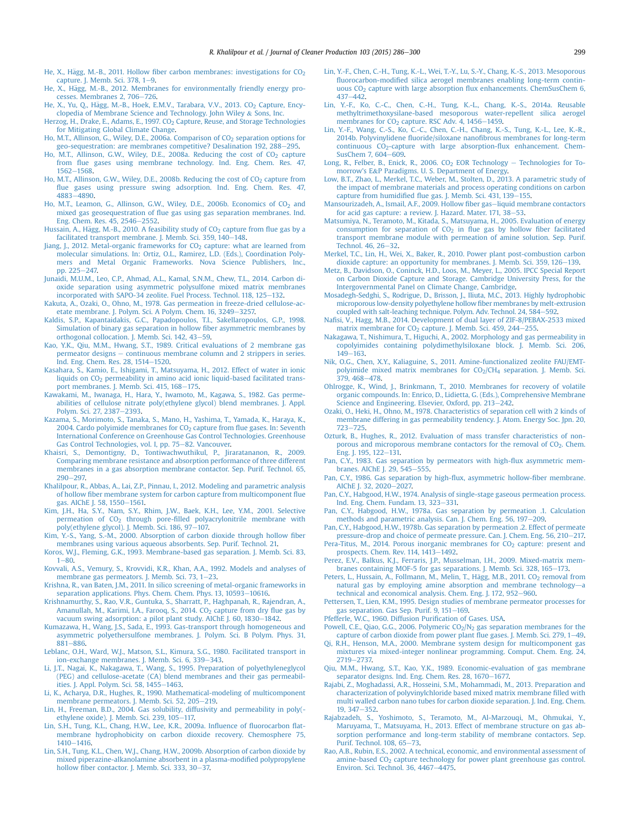- <span id="page-13-0"></span>[He, X., H](http://refhub.elsevier.com/S0959-6526(14)01092-0/sref35)ägg, M.-B., 2011. Hollow fiber carbon membranes: investigations for CO<sub>2</sub> capture. J. Memb. Sci.  $378, 1-9$ .
- [He, X., H](http://refhub.elsevier.com/S0959-6526(14)01092-0/sref36)ägg, M.-B., 2012. Membranes for environmentally friendly energy pro $c$ esses. Membranes 2, 706-[726](http://refhub.elsevier.com/S0959-6526(14)01092-0/sref36).
- [He, X., Yu, Q., H](http://refhub.elsevier.com/S0959-6526(14)01092-0/sref37)ä[gg, M.-B., Hoek, E.M.V., Tarabara, V.V., 2013. CO2](http://refhub.elsevier.com/S0959-6526(14)01092-0/sref37) [Capture, Ency](http://refhub.elsevier.com/S0959-6526(14)01092-0/sref37)[clopedia of Membrane Science and Technology. John Wiley](http://refhub.elsevier.com/S0959-6526(14)01092-0/sref37) & [Sons, Inc.](http://refhub.elsevier.com/S0959-6526(14)01092-0/sref37)
- Herzog, H., Drake, E., Adams, E., 1997. CO<sub>2</sub> [Capture, Reuse, and Storage Technologies](http://refhub.elsevier.com/S0959-6526(14)01092-0/sref38) [for Mitigating Global Climate Change.](http://refhub.elsevier.com/S0959-6526(14)01092-0/sref38)
- Ho, M.T., Allinson, G., Wiley, D.E., 2006a. Comparison of CO<sub>2</sub> [separation options for](http://refhub.elsevier.com/S0959-6526(14)01092-0/sref39) [geo-sequestration: are membranes competitive? Desalination 192, 288](http://refhub.elsevier.com/S0959-6526(14)01092-0/sref39)-[295.](http://refhub.elsevier.com/S0959-6526(14)01092-0/sref39)
- Ho, M.T., Allinson, G.W., Wiley, D.E., 2008a. Reducing the cost of  $CO<sub>2</sub>$  [capture](http://refhub.elsevier.com/S0959-6526(14)01092-0/sref40) from fl[ue gases using membrane technology. Ind. Eng. Chem. Res. 47,](http://refhub.elsevier.com/S0959-6526(14)01092-0/sref40) [1562](http://refhub.elsevier.com/S0959-6526(14)01092-0/sref40)-[1568.](http://refhub.elsevier.com/S0959-6526(14)01092-0/sref40)
- Ho, M.T., Allinson, G.W., Wiley, D.E., 2008b. Reducing the cost of  $CO<sub>2</sub>$  [capture from](http://refhub.elsevier.com/S0959-6526(14)01092-0/sref41) fl[ue gases using pressure swing adsorption. Ind. Eng. Chem. Res. 47,](http://refhub.elsevier.com/S0959-6526(14)01092-0/sref41) [4883](http://refhub.elsevier.com/S0959-6526(14)01092-0/sref41)-4890
- Ho, M.T., Leamon, G., Allinson, G.W., Wiley, D.E., 2006b. Economics of  $CO<sub>2</sub>$  [and](http://refhub.elsevier.com/S0959-6526(14)01092-0/sref42) mixed gas geosequestration of fl[ue gas using gas separation membranes. Ind.](http://refhub.elsevier.com/S0959-6526(14)01092-0/sref42) [Eng. Chem. Res. 45, 2546](http://refhub.elsevier.com/S0959-6526(14)01092-0/sref42)-[2552](http://refhub.elsevier.com/S0959-6526(14)01092-0/sref42).
- [Hussain, A., H](http://refhub.elsevier.com/S0959-6526(14)01092-0/sref43)ägg, M.-B., 2010. A feasibility study of  $CO_2$  [capture from](http://refhub.elsevier.com/S0959-6526(14)01092-0/sref43) flue gas by a [facilitated transport membrane. J. Memb. Sci. 359, 140](http://refhub.elsevier.com/S0959-6526(14)01092-0/sref43)-[148](http://refhub.elsevier.com/S0959-6526(14)01092-0/sref43).
- Jiang, J., 2012. Metal-organic frameworks for  $CO<sub>2</sub>$  [capture: what are learned from](http://refhub.elsevier.com/S0959-6526(14)01092-0/sref44) [molecular simulations. In: Ortiz, O.L., Ramirez, L.D. \(Eds.\), Coordination Poly](http://refhub.elsevier.com/S0959-6526(14)01092-0/sref44)[mers and Metal Organic Frameworks. Nova Science Publishers, Inc.,](http://refhub.elsevier.com/S0959-6526(14)01092-0/sref44) [pp. 225](http://refhub.elsevier.com/S0959-6526(14)01092-0/sref44)-[247.](http://refhub.elsevier.com/S0959-6526(14)01092-0/sref44)
- [Junaidi, M.U.M., Leo, C.P., Ahmad, A.L., Kamal, S.N.M., Chew, T.L., 2014. Carbon di](http://refhub.elsevier.com/S0959-6526(14)01092-0/sref45)[oxide separation using asymmetric polysulfone mixed matrix membranes](http://refhub.elsevier.com/S0959-6526(14)01092-0/sref45)<br>[incorporated with SAPO-34 zeolite. Fuel Process. Technol. 118, 125](http://refhub.elsevier.com/S0959-6526(14)01092-0/sref45)–[132](http://refhub.elsevier.com/S0959-6526(14)01092-0/sref45).
- [Kakuta, A., Ozaki, O., Ohno, M., 1978. Gas permeation in freeze-dried cellulose-ac](http://refhub.elsevier.com/S0959-6526(14)01092-0/sref46)[etate membrane. J. Polym. Sci. A Polym. Chem. 16, 3249](http://refhub.elsevier.com/S0959-6526(14)01092-0/sref46)-[3257.](http://refhub.elsevier.com/S0959-6526(14)01092-0/sref46)
- [Kaldis, S.P., Kapantaidakis, G.C., Papadopoulos, T.I., Sakellaropoulos, G.P., 1998.](http://refhub.elsevier.com/S0959-6526(14)01092-0/sref47) [Simulation of binary gas separation in hollow](http://refhub.elsevier.com/S0959-6526(14)01092-0/sref47) fiber asymmetric membranes by [orthogonal collocation. J. Memb. Sci. 142, 43](http://refhub.elsevier.com/S0959-6526(14)01092-0/sref47)-[59.](http://refhub.elsevier.com/S0959-6526(14)01092-0/sref47)
- [Kao, Y.K., Qiu, M.M., Hwang, S.T., 1989. Critical evaluations of 2 membrane gas](http://refhub.elsevier.com/S0959-6526(14)01092-0/sref48) [permeator designs](http://refhub.elsevier.com/S0959-6526(14)01092-0/sref48) - [continuous membrane column and 2 strippers in series.](http://refhub.elsevier.com/S0959-6526(14)01092-0/sref48) [Ind. Eng. Chem. Res. 28, 1514](http://refhub.elsevier.com/S0959-6526(14)01092-0/sref48)-[1520.](http://refhub.elsevier.com/S0959-6526(14)01092-0/sref48)
- [Kasahara, S., Kamio, E., Ishigami, T., Matsuyama, H., 2012. Effect of water in ionic](http://refhub.elsevier.com/S0959-6526(14)01092-0/sref49) [liquids on CO2](http://refhub.elsevier.com/S0959-6526(14)01092-0/sref49) [permeability in amino acid ionic liquid-based facilitated trans](http://refhub.elsevier.com/S0959-6526(14)01092-0/sref49)[port membranes. J. Memb. Sci. 415, 168](http://refhub.elsevier.com/S0959-6526(14)01092-0/sref49)-[175.](http://refhub.elsevier.com/S0959-6526(14)01092-0/sref49)
- [Kawakami, M., Iwanaga, H., Hara, Y., Iwamoto, M., Kagawa, S., 1982. Gas perme](http://refhub.elsevier.com/S0959-6526(14)01092-0/sref50)[abilities of cellulose nitrate poly\(ethylene glycol\) blend membranes. J. Appl.](http://refhub.elsevier.com/S0959-6526(14)01092-0/sref50) [Polym. Sci. 27, 2387](http://refhub.elsevier.com/S0959-6526(14)01092-0/sref50)-[2393](http://refhub.elsevier.com/S0959-6526(14)01092-0/sref50).
- [Kazama, S., Morimoto, S., Tanaka, S., Mano, H., Yashima, T., Yamada, K., Haraya, K.,](http://refhub.elsevier.com/S0959-6526(14)01092-0/sref51) 2004. Cardo polyimide membranes for CO<sub>2</sub> capture from fl[ue gases. In: Seventh](http://refhub.elsevier.com/S0959-6526(14)01092-0/sref51) [International Conference on Greenhouse Gas Control Technologies. Greenhouse](http://refhub.elsevier.com/S0959-6526(14)01092-0/sref51) [Gas Control Technologies, vol. I, pp. 75](http://refhub.elsevier.com/S0959-6526(14)01092-0/sref51)-[82. Vancouver.](http://refhub.elsevier.com/S0959-6526(14)01092-0/sref51)
- [Khaisri, S., Demontigny, D., Tontiwachwuthikul, P., Jiraratananon, R., 2009.](http://refhub.elsevier.com/S0959-6526(14)01092-0/sref52) [Comparing membrane resistance and absorption performance of three different](http://refhub.elsevier.com/S0959-6526(14)01092-0/sref52) [membranes in a gas absorption membrane contactor. Sep. Purif. Technol. 65,](http://refhub.elsevier.com/S0959-6526(14)01092-0/sref52) [290](http://refhub.elsevier.com/S0959-6526(14)01092-0/sref52)-297
- [Khalilpour, R., Abbas, A., Lai, Z.P., Pinnau, I., 2012. Modeling and parametric analysis](http://refhub.elsevier.com/S0959-6526(14)01092-0/sref53) of hollow fi[ber membrane system for carbon capture from multicomponent](http://refhub.elsevier.com/S0959-6526(14)01092-0/sref53) flue [gas. AIChE J. 58, 1550](http://refhub.elsevier.com/S0959-6526(14)01092-0/sref53)-[1561.](http://refhub.elsevier.com/S0959-6526(14)01092-0/sref53)
- [Kim, J.H., Ha, S.Y., Nam, S.Y., Rhim, J.W., Baek, K.H., Lee, Y.M., 2001. Selective](http://refhub.elsevier.com/S0959-6526(14)01092-0/sref54) [permeation of CO2](http://refhub.elsevier.com/S0959-6526(14)01092-0/sref54) through pore-fi[lled polyacrylonitrile membrane with](http://refhub.elsevier.com/S0959-6526(14)01092-0/sref54) [poly\(ethylene glycol\). J. Memb. Sci. 186, 97](http://refhub.elsevier.com/S0959-6526(14)01092-0/sref54) $-$ [107.](http://refhub.elsevier.com/S0959-6526(14)01092-0/sref54)
- [Kim, Y.-S., Yang, S.-M., 2000. Absorption of carbon dioxide through hollow](http://refhub.elsevier.com/S0959-6526(14)01092-0/sref55) fiber [membranes using various aqueous absorbents. Sep. Purif. Technol. 21.](http://refhub.elsevier.com/S0959-6526(14)01092-0/sref55)
- [Koros, W.J., Fleming, G.K., 1993. Membrane-based gas separation. J. Memb. Sci. 83,](http://refhub.elsevier.com/S0959-6526(14)01092-0/sref56)  $1 - 80.$  $1 - 80.$  $1 - 80.$  $1 - 80.$
- [Kovvali, A.S., Vemury, S., Krovvidi, K.R., Khan, A.A., 1992. Models and analyses of](http://refhub.elsevier.com/S0959-6526(14)01092-0/sref57) [membrane gas permeators. J. Memb. Sci. 73, 1](http://refhub.elsevier.com/S0959-6526(14)01092-0/sref57)-[23.](http://refhub.elsevier.com/S0959-6526(14)01092-0/sref57)
- [Krishna, R., van Baten, J.M., 2011. In silico screening of metal-organic frameworks in](http://refhub.elsevier.com/S0959-6526(14)01092-0/sref58) [separation applications. Phys. Chem. Chem. Phys. 13, 10593](http://refhub.elsevier.com/S0959-6526(14)01092-0/sref58)-[10616.](http://refhub.elsevier.com/S0959-6526(14)01092-0/sref58)
- [Krishnamurthy, S., Rao, V.R., Guntuka, S., Sharratt, P., Haghpanah, R., Rajendran, A.,](http://refhub.elsevier.com/S0959-6526(14)01092-0/sref59) Amanullah, M., Karimi, I.A., Farooq, S., 2014.  $CO<sub>2</sub>$  [capture from dry](http://refhub.elsevier.com/S0959-6526(14)01092-0/sref59) flue gas by [vacuum swing adsorption: a pilot plant study. AIChE J. 60, 1830](http://refhub.elsevier.com/S0959-6526(14)01092-0/sref59)-[1842.](http://refhub.elsevier.com/S0959-6526(14)01092-0/sref59)
- [Kumazawa, H., Wang, J.S., Sada, E., 1993. Gas-transport through homogeneous and](http://refhub.elsevier.com/S0959-6526(14)01092-0/sref60) [asymmetric polyethersulfone membranes. J. Polym. Sci. B Polym. Phys. 31,](http://refhub.elsevier.com/S0959-6526(14)01092-0/sref60) [881](http://refhub.elsevier.com/S0959-6526(14)01092-0/sref60)-886
- [Leblanc, O.H., Ward, W.J., Matson, S.L., Kimura, S.G., 1980. Facilitated transport in](http://refhub.elsevier.com/S0959-6526(14)01092-0/sref61) [ion-exchange membranes. J. Memb. Sci. 6, 339](http://refhub.elsevier.com/S0959-6526(14)01092-0/sref61)-[343](http://refhub.elsevier.com/S0959-6526(14)01092-0/sref61).
- [Li, J.T., Nagai, K., Nakagawa, T., Wang, S., 1995. Preparation of polyethyleneglycol](http://refhub.elsevier.com/S0959-6526(14)01092-0/sref62) [\(PEG\) and cellulose-acetate \(CA\) blend membranes and their gas permeabil](http://refhub.elsevier.com/S0959-6526(14)01092-0/sref62)[ities. J. Appl. Polym. Sci. 58, 1455](http://refhub.elsevier.com/S0959-6526(14)01092-0/sref62)-[1463](http://refhub.elsevier.com/S0959-6526(14)01092-0/sref62).
- [Li, K., Acharya, D.R., Hughes, R., 1990. Mathematical-modeling of multicomponent](http://refhub.elsevier.com/S0959-6526(14)01092-0/sref63) [membrane permeators. J. Memb. Sci. 52, 205](http://refhub.elsevier.com/S0959-6526(14)01092-0/sref63)-[219](http://refhub.elsevier.com/S0959-6526(14)01092-0/sref63).
- [Lin, H., Freeman, B.D., 2004. Gas solubility, diffusivity and permeability in poly\(](http://refhub.elsevier.com/S0959-6526(14)01092-0/sref64) [ethylene oxide\). J. Memb. Sci. 239, 105](http://refhub.elsevier.com/S0959-6526(14)01092-0/sref64)-[117.](http://refhub.elsevier.com/S0959-6526(14)01092-0/sref64)
- [Lin, S.H., Tung, K.L., Chang, H.W., Lee, K.R., 2009a. In](http://refhub.elsevier.com/S0959-6526(14)01092-0/sref65)fluence of fluorocarbon flat[membrane hydrophobicity on carbon dioxide recovery. Chemosphere 75,](http://refhub.elsevier.com/S0959-6526(14)01092-0/sref65)  $1410 - 1416$  $1410 - 1416$  $1410 - 1416$ .
- [Lin, S.H., Tung, K.L., Chen, W.J., Chang, H.W., 2009b. Absorption of carbon dioxide by](http://refhub.elsevier.com/S0959-6526(14)01092-0/sref66) [mixed piperazine-alkanolamine absorbent in a plasma-modi](http://refhub.elsevier.com/S0959-6526(14)01092-0/sref66)fied polypropylene hollow fi[ber contactor. J. Memb. Sci. 333, 30](http://refhub.elsevier.com/S0959-6526(14)01092-0/sref66)-[37.](http://refhub.elsevier.com/S0959-6526(14)01092-0/sref66)
- [Lin, Y.-F., Chen, C.-H., Tung, K.-L., Wei, T.-Y., Lu, S.-Y., Chang, K.-S., 2013. Mesoporous](http://refhub.elsevier.com/S0959-6526(14)01092-0/sref67) fluorocarbon-modifi[ed silica aerogel membranes enabling long-term contin](http://refhub.elsevier.com/S0959-6526(14)01092-0/sref67)uous CO<sub>2</sub> capture with large absorption fl[ux enhancements. ChemSusChem 6,](http://refhub.elsevier.com/S0959-6526(14)01092-0/sref67)  $437 - 442$  $437 - 442$ .
- [Lin, Y.-F., Ko, C.-C., Chen, C.-H., Tung, K.-L., Chang, K.-S., 2014a. Reusable](http://refhub.elsevier.com/S0959-6526(14)01092-0/sref68) [methyltrimethoxysilane-based mesoporous water-repellent silica aerogel](http://refhub.elsevier.com/S0959-6526(14)01092-0/sref68) membranes for  $CO<sub>2</sub>$  [capture. RSC Adv. 4, 1456](http://refhub.elsevier.com/S0959-6526(14)01092-0/sref68)-[1459.](http://refhub.elsevier.com/S0959-6526(14)01092-0/sref68)
- [Lin, Y.-F., Wang, C.-S., Ko, C.-C., Chen, C.-H., Chang, K.-S., Tung, K.-L., Lee, K.-R.,](http://refhub.elsevier.com/S0959-6526(14)01092-0/sref69) 2014b. Polyvinylidene fluoride/siloxane nanofi[brous membranes for long-term](http://refhub.elsevier.com/S0959-6526(14)01092-0/sref69) continuous  $CO<sub>2</sub>$ -capture with large absorption-flux enhancement. Chem-SusChem 7,  $604 - 609$  $604 - 609$ .
- Long, R., Felber, B., Enick, R., 2006. CO<sub>2</sub> [EOR Technology](http://refhub.elsevier.com/S0959-6526(14)01092-0/sref70) [Technologies for To](http://refhub.elsevier.com/S0959-6526(14)01092-0/sref70)[morrow's E](http://refhub.elsevier.com/S0959-6526(14)01092-0/sref70)&[P Paradigms. U. S. Department of Energy.](http://refhub.elsevier.com/S0959-6526(14)01092-0/sref70)
- [Low, B.T., Zhao, L., Merkel, T.C., Weber, M., Stolten, D., 2013. A parametric study of](http://refhub.elsevier.com/S0959-6526(14)01092-0/sref71) [the impact of membrane materials and process operating conditions on carbon](http://refhub.elsevier.com/S0959-6526(14)01092-0/sref71) capture from humidified fl[ue gas. J. Memb. Sci. 431, 139](http://refhub.elsevier.com/S0959-6526(14)01092-0/sref71)-[155.](http://refhub.elsevier.com/S0959-6526(14)01092-0/sref71)
- [Mansourizadeh, A., Ismail, A.F., 2009. Hollow](http://refhub.elsevier.com/S0959-6526(14)01092-0/sref72) fiber gas-[liquid membrane contactors](http://refhub.elsevier.com/S0959-6526(14)01092-0/sref72) for acid gas capture: a review. I. Hazard. Mater.  $171, 38-53$  $171, 38-53$ .
- [Matsumiya, N., Teramoto, M., Kitada, S., Matsuyama, H., 2005. Evaluation of energy](http://refhub.elsevier.com/S0959-6526(14)01092-0/sref73) [consumption for separation of CO2](http://refhub.elsevier.com/S0959-6526(14)01092-0/sref73) in fl[ue gas by hollow](http://refhub.elsevier.com/S0959-6526(14)01092-0/sref73) fiber facilitated [transport membrane module with permeation of amine solution. Sep. Purif.](http://refhub.elsevier.com/S0959-6526(14)01092-0/sref73) [Technol. 46, 26](http://refhub.elsevier.com/S0959-6526(14)01092-0/sref73)-[32](http://refhub.elsevier.com/S0959-6526(14)01092-0/sref73).
- [Merkel, T.C., Lin, H., Wei, X., Baker, R., 2010. Power plant post-combustion carbon](http://refhub.elsevier.com/S0959-6526(14)01092-0/sref74) [dioxide capture: an opportunity for membranes. J. Memb. Sci. 359, 126](http://refhub.elsevier.com/S0959-6526(14)01092-0/sref74)–[139](http://refhub.elsevier.com/S0959-6526(14)01092-0/sref74).
- [Metz, B., Davidson, O., Coninck, H.D., Loos, M., Meyer, L., 2005. IPCC Special Report](http://refhub.elsevier.com/S0959-6526(14)01092-0/sref75) [on Carbon Dioxide Capture and Storage. Cambridge University Press, for the](http://refhub.elsevier.com/S0959-6526(14)01092-0/sref75) [Intergovernmental Panel on Climate Change, Cambridge.](http://refhub.elsevier.com/S0959-6526(14)01092-0/sref75)
- [Mosadegh-Sedghi, S., Rodrigue, D., Brisson, J., Iliuta, M.C., 2013. Highly hydrophobic](http://refhub.elsevier.com/S0959-6526(14)01092-0/sref76) [microporous low-density polyethylene hollow](http://refhub.elsevier.com/S0959-6526(14)01092-0/sref76) fiber membranes by melt-extrusion [coupled with salt-leaching technique. Polym. Adv. Technol. 24, 584](http://refhub.elsevier.com/S0959-6526(14)01092-0/sref76)-[592](http://refhub.elsevier.com/S0959-6526(14)01092-0/sref76).
- Nafi[si, V., Hagg, M.B., 2014. Development of dual layer of ZIF-8/PEBAX-2533 mixed](http://refhub.elsevier.com/S0959-6526(14)01092-0/sref77) matrix membrane for CO<sub>2</sub> [capture. J. Memb. Sci. 459, 244](http://refhub.elsevier.com/S0959-6526(14)01092-0/sref77)-[255.](http://refhub.elsevier.com/S0959-6526(14)01092-0/sref77)
- [Nakagawa, T., Nishimura, T., Higuchi, A., 2002. Morphology and gas permeability in](http://refhub.elsevier.com/S0959-6526(14)01092-0/sref78) [copolyimides containing polydimethylsiloxane block. J. Memb. Sci. 206,](http://refhub.elsevier.com/S0959-6526(14)01092-0/sref78)  $149 - 163.$  $149 - 163.$  $149 - 163.$  $149 - 163.$
- [Nik, O.G., Chen, X.Y., Kaliaguine, S., 2011. Amine-functionalized zeolite FAU/EMT](http://refhub.elsevier.com/S0959-6526(14)01092-0/sref79)polyimide mixed matrix membranes for  $CO<sub>2</sub>/CH<sub>4</sub>$  [separation. J. Memb. Sci.](http://refhub.elsevier.com/S0959-6526(14)01092-0/sref79) [379, 468](http://refhub.elsevier.com/S0959-6526(14)01092-0/sref79)-[478.](http://refhub.elsevier.com/S0959-6526(14)01092-0/sref79)
- [Ohlrogge, K., Wind, J., Brinkmann, T., 2010. Membranes for recovery of volatile](http://refhub.elsevier.com/S0959-6526(14)01092-0/sref80) [organic compounds. In: Enrico, D., Lidietta, G. \(Eds.\), Comprehensive Membrane](http://refhub.elsevier.com/S0959-6526(14)01092-0/sref80) [Science and Engineering. Elsevier, Oxford, pp. 213](http://refhub.elsevier.com/S0959-6526(14)01092-0/sref80)-[242.](http://refhub.elsevier.com/S0959-6526(14)01092-0/sref80)
- [Ozaki, O., Heki, H., Ohno, M., 1978. Characteristics of separation cell with 2 kinds of](http://refhub.elsevier.com/S0959-6526(14)01092-0/sref81) [membrane differing in gas permeability tendency. J. Atom. Energy Soc. Jpn. 20,](http://refhub.elsevier.com/S0959-6526(14)01092-0/sref81) [723](http://refhub.elsevier.com/S0959-6526(14)01092-0/sref81)-[725.](http://refhub.elsevier.com/S0959-6526(14)01092-0/sref81)
- [Ozturk, B., Hughes, R., 2012. Evaluation of mass transfer characteristics of non](http://refhub.elsevier.com/S0959-6526(14)01092-0/sref82)porous and microporous membrane contactors for the removal of CO<sub>2</sub>. Chem. [Eng. J. 195, 122](http://refhub.elsevier.com/S0959-6526(14)01092-0/sref82)-[131.](http://refhub.elsevier.com/S0959-6526(14)01092-0/sref82)
- [Pan, C.Y., 1983. Gas separation by permeators with high-](http://refhub.elsevier.com/S0959-6526(14)01092-0/sref83)flux asymmetric mem[branes. AIChE J. 29, 545](http://refhub.elsevier.com/S0959-6526(14)01092-0/sref83)-[555](http://refhub.elsevier.com/S0959-6526(14)01092-0/sref83).
- [Pan, C.Y., 1986. Gas separation by high-](http://refhub.elsevier.com/S0959-6526(14)01092-0/sref84)flux, asymmetric hollow-fiber membrane. [AIChE J. 32, 2020](http://refhub.elsevier.com/S0959-6526(14)01092-0/sref84)-[2027.](http://refhub.elsevier.com/S0959-6526(14)01092-0/sref84)
- [Pan, C.Y., Habgood, H.W., 1974. Analysis of single-stage gaseous permeation process.](http://refhub.elsevier.com/S0959-6526(14)01092-0/sref85) [Ind. Eng. Chem. Fundam. 13, 323](http://refhub.elsevier.com/S0959-6526(14)01092-0/sref85)-[331.](http://refhub.elsevier.com/S0959-6526(14)01092-0/sref85)
- [Pan, C.Y., Habgood, H.W., 1978a. Gas separation by permeation .1. Calculation](http://refhub.elsevier.com/S0959-6526(14)01092-0/sref86) [methods and parametric analysis. Can. J. Chem. Eng. 56, 197](http://refhub.elsevier.com/S0959-6526(14)01092-0/sref86)-[209](http://refhub.elsevier.com/S0959-6526(14)01092-0/sref86).
- [Pan, C.Y., Habgood, H.W., 1978b. Gas separation by permeation .2. Effect of permeate](http://refhub.elsevier.com/S0959-6526(14)01092-0/sref87) [pressure-drop and choice of permeate pressure. Can. J. Chem. Eng. 56, 210](http://refhub.elsevier.com/S0959-6526(14)01092-0/sref87)-[217.](http://refhub.elsevier.com/S0959-6526(14)01092-0/sref87) Pera-Titus, M., 2014. Porous inorganic membranes for  $CO<sub>2</sub>$  [capture: present and](http://refhub.elsevier.com/S0959-6526(14)01092-0/sref88)
- prospects. Chem. Rev.  $114$ ,  $1413-1492$  $1413-1492$ . [Perez, E.V., Balkus, K.J., Ferraris, J.P., Musselman, I.H., 2009. Mixed-matrix mem-](http://refhub.elsevier.com/S0959-6526(14)01092-0/sref89)
- [branes containing MOF-5 for gas separations. J. Memb. Sci. 328, 165](http://refhub.elsevier.com/S0959-6526(14)01092-0/sref89)-[173](http://refhub.elsevier.com/S0959-6526(14)01092-0/sref89).
- [Peters, L., Hussain, A., Follmann, M., Melin, T., H](http://refhub.elsevier.com/S0959-6526(14)01092-0/sref90)ägg, M.B., 2011. CO<sub>2</sub> [removal from](http://refhub.elsevier.com/S0959-6526(14)01092-0/sref90) [natural gas by employing amine absorption and membrane technology](http://refhub.elsevier.com/S0959-6526(14)01092-0/sref90)-[a](http://refhub.elsevier.com/S0959-6526(14)01092-0/sref90) [technical and economical analysis. Chem. Eng. J. 172, 952](http://refhub.elsevier.com/S0959-6526(14)01092-0/sref90)-[960](http://refhub.elsevier.com/S0959-6526(14)01092-0/sref90).
- [Pettersen, T., Lien, K.M., 1995. Design studies of membrane permeator processes for](http://refhub.elsevier.com/S0959-6526(14)01092-0/sref91) [gas separation. Gas Sep. Purif. 9, 151](http://refhub.elsevier.com/S0959-6526(14)01092-0/sref91)-[169.](http://refhub.elsevier.com/S0959-6526(14)01092-0/sref91)

[Pfefferle, W.C., 1960. Diffusion Puri](http://refhub.elsevier.com/S0959-6526(14)01092-0/sref92)fication of Gases. USA.

- Powell, C.E., Qiao, G.G., 2006. Polymeric  $CO<sub>2</sub>/N<sub>2</sub>$  [gas separation membranes for the](http://refhub.elsevier.com/S0959-6526(14)01092-0/sref93) [capture of carbon dioxide from power plant](http://refhub.elsevier.com/S0959-6526(14)01092-0/sref93) flue gases. J. Memb. Sci. 279, 1-[49](http://refhub.elsevier.com/S0959-6526(14)01092-0/sref93).
- [Qi, R.H., Henson, M.A., 2000. Membrane system design for multicomponent gas](http://refhub.elsevier.com/S0959-6526(14)01092-0/sref94) [mixtures via mixed-integer nonlinear programming. Comput. Chem. Eng. 24,](http://refhub.elsevier.com/S0959-6526(14)01092-0/sref94) [2719](http://refhub.elsevier.com/S0959-6526(14)01092-0/sref94)-[2737.](http://refhub.elsevier.com/S0959-6526(14)01092-0/sref94)
- [Qiu, M.M., Hwang, S.T., Kao, Y.K., 1989. Economic-evaluation of gas membrane](http://refhub.elsevier.com/S0959-6526(14)01092-0/sref95) [separator designs. Ind. Eng. Chem. Res. 28, 1670](http://refhub.elsevier.com/S0959-6526(14)01092-0/sref95)-[1677.](http://refhub.elsevier.com/S0959-6526(14)01092-0/sref95)
- [Rajabi, Z., Moghadassi, A.R., Hosseini, S.M., Mohammadi, M., 2013. Preparation and](http://refhub.elsevier.com/S0959-6526(14)01092-0/sref96) [characterization of polyvinylchloride based mixed matrix membrane](http://refhub.elsevier.com/S0959-6526(14)01092-0/sref96) filled with [multi walled carbon nano tubes for carbon dioxide separation. J. Ind. Eng. Chem.](http://refhub.elsevier.com/S0959-6526(14)01092-0/sref96) [19, 347](http://refhub.elsevier.com/S0959-6526(14)01092-0/sref96)-[352.](http://refhub.elsevier.com/S0959-6526(14)01092-0/sref96)
- [Rajabzadeh, S., Yoshimoto, S., Teramoto, M., Al-Marzouqi, M., Ohmukai, Y.,](http://refhub.elsevier.com/S0959-6526(14)01092-0/sref97) [Maruyama, T., Matsuyama, H., 2013. Effect of membrane structure on gas ab](http://refhub.elsevier.com/S0959-6526(14)01092-0/sref97)[sorption performance and long-term stability of membrane contactors. Sep.](http://refhub.elsevier.com/S0959-6526(14)01092-0/sref97) [Purif. Technol. 108, 65](http://refhub.elsevier.com/S0959-6526(14)01092-0/sref97)-[73.](http://refhub.elsevier.com/S0959-6526(14)01092-0/sref97)
- [Rao, A.B., Rubin, E.S., 2002. A technical, economic, and environmental assessment of](http://refhub.elsevier.com/S0959-6526(14)01092-0/sref98) amine-based CO<sub>2</sub> [capture technology for power plant greenhouse gas control.](http://refhub.elsevier.com/S0959-6526(14)01092-0/sref98) [Environ. Sci. Technol. 36, 4467](http://refhub.elsevier.com/S0959-6526(14)01092-0/sref98)-[4475](http://refhub.elsevier.com/S0959-6526(14)01092-0/sref98).